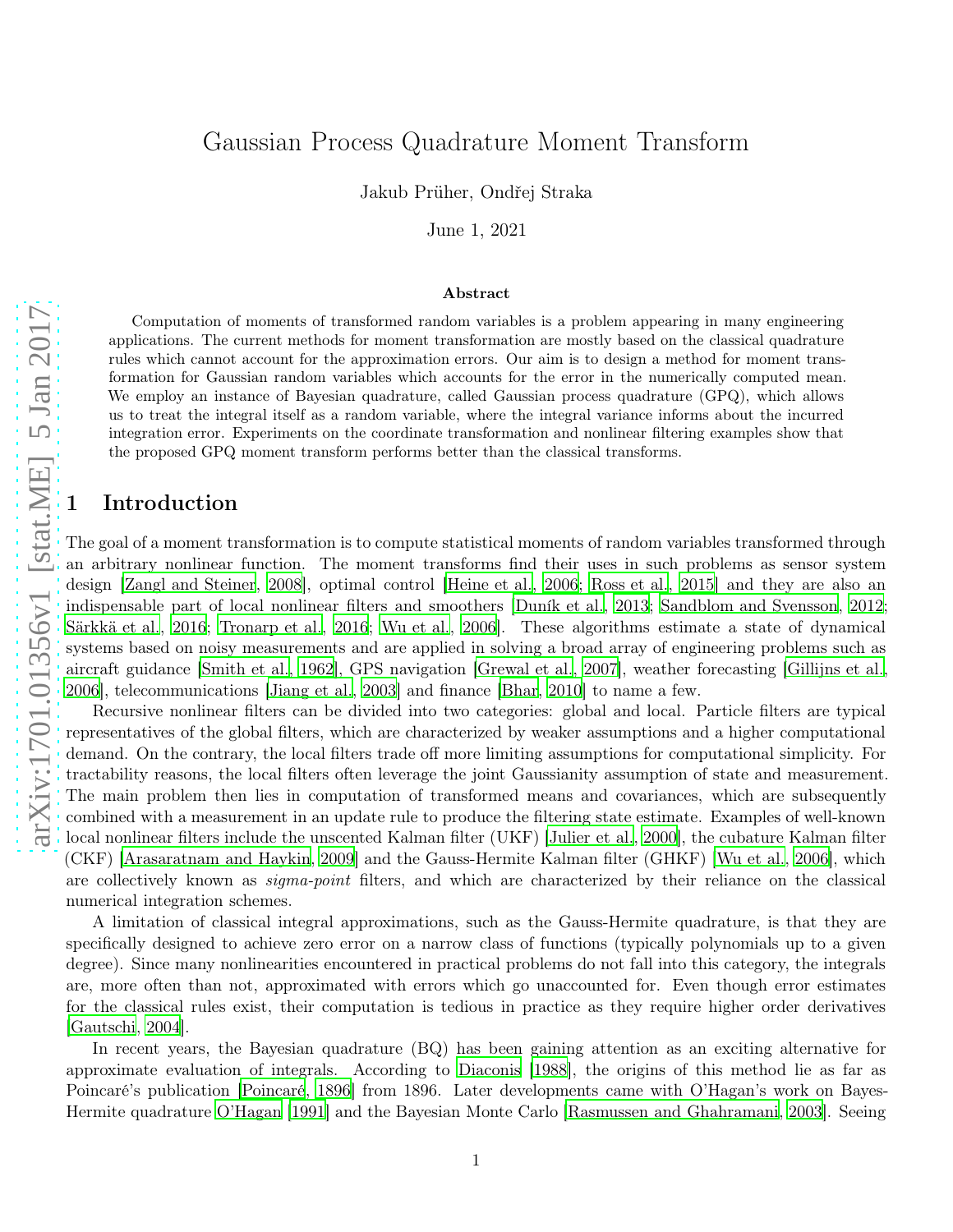# Gaussian Process Quadrature Moment Transform

Jakub Prüher, Ondřej Straka

June 1, 2021

#### Abstract

Computation of moments of transformed random variables is a problem appearing in many engineering applications. The current methods for moment transformation are mostly based on the classical quadrature rules which cannot account for the approximation errors. Our aim is to design a method for moment transformation for Gaussian random variables which accounts for the error in the numerically computed mean. We employ an instance of Bayesian quadrature, called Gaussian process quadrature (GPQ), which allows us to treat the integral itself as a random variable, where the integral variance informs about the incurred integration error. Experiments on the coordinate transformation and nonlinear filtering examples show that the proposed GPQ moment transform performs better than the classical transforms.

# **Introduction**

The goal of a moment transformation is to compute statistical moments of random variables transformed through an arbitrary nonlinear function. The moment transforms find their uses in such problems as sensor system design [\[Zangl and Steiner](#page-17-0), [2008](#page-17-0)], optimal control [\[Heine et](#page-15-0) al., [2006;](#page-15-0) [Ross et al.](#page-16-0), [2015](#page-16-0)] and they are also an indispensable part of local nonlinear filters and smoothers [\[Duník et al.](#page-15-1), [2013](#page-15-1); [Sandblom and Svensson, 2012;](#page-16-1) [Särkkä et al., 2016;](#page-17-1) [Tronarp et al., 2016;](#page-17-2) [Wu et al.](#page-17-3), [2006](#page-17-3)]. These algorithms estimate a state of dynamical systems based on noisy measurements and are applied in solving a broad array of engineering problems such as aircraft guidance [\[Smith et al., 1962](#page-17-4)], GPS navigation [\[Grewal et al.](#page-15-2), [2007\]](#page-15-2), weather forecasting [\[Gillijns et al.,](#page-15-3) [2006\]](#page-15-3), telecommunications [\[Jiang et al., 2003\]](#page-15-4) and finance [\[Bhar, 2010](#page-15-5)] to name a few.

Recursive nonlinear filters can be divided into two categories: global and local. Particle filters are typical representatives of the global filters, which are characterized by weaker assumptions and a higher computational demand. On the contrary, the local filters trade off more limiting assumptions for computational simplicity. For tractability reasons, the local filters often leverage the joint Gaussianity assumption of state and measurement. The main problem then lies in computation of transformed means and covariances, which are subsequently combined with a measurement in an update rule to produce the filtering state estimate. Examples of well-known local nonlinear filters include the unscented Kalman filter (UKF) [\[Julier et al.](#page-15-6), [2000\]](#page-15-6), the cubature Kalman filter (CKF) [\[Arasaratnam and Haykin, 2009\]](#page-14-0) and the Gauss-Hermite Kalman filter (GHKF) [\[Wu et al.](#page-17-3), [2006\]](#page-17-3), which are collectively known as *sigma-point* filters, and which are characterized by their reliance on the classical numerical integration schemes.

A limitation of classical integral approximations, such as the Gauss-Hermite quadrature, is that they are specifically designed to achieve zero error on a narrow class of functions (typically polynomials up to a given degree). Since many nonlinearities encountered in practical problems do not fall into this category, the integrals are, more often than not, approximated with errors which go unaccounted for. Even though error estimates for the classical rules exist, their computation is tedious in practice as they require higher order derivatives [\[Gautschi](#page-15-7), [2004\]](#page-15-7).

In recent years, the Bayesian quadrature (BQ) has been gaining attention as an exciting alternative for approximate evaluation of integrals. According to [Diaconis \[1988\]](#page-15-8), the origins of this method lie as far as Poincaré's publication [\[Poincaré](#page-16-2), [1896](#page-16-2)] from 1896. Later developments came with O'Hagan's work on Bayes-Hermite quadrature [O'Hagan \[1991](#page-16-3)] and the Bayesian Monte Carlo [\[Rasmussen and Ghahramani, 2003](#page-16-4)]. Seeing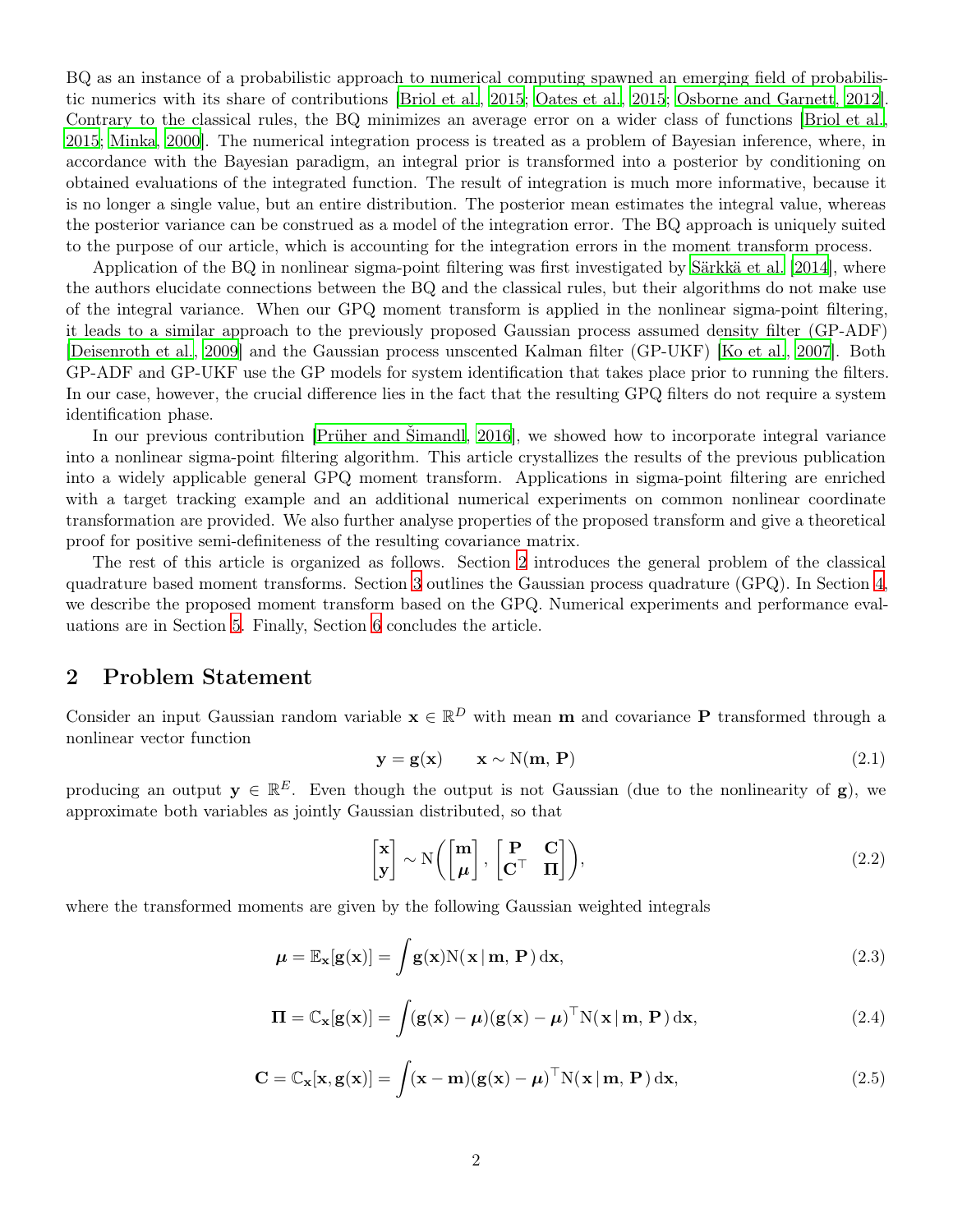BQ as an instance of a probabilistic approach to numerical computing spawned an emerging field of probabilistic numerics with its share of contributions [\[Briol et al.](#page-15-9), [2015;](#page-15-9) [Oates et al., 2015;](#page-16-5) [Osborne and Garnett, 2012](#page-16-6)]. Contrary to the classical rules, the BQ minimizes an average error on a wider class of functions [\[Briol et al.,](#page-15-9) [2015;](#page-15-9) [Minka](#page-16-7), [2000\]](#page-16-7). The numerical integration process is treated as a problem of Bayesian inference, where, in accordance with the Bayesian paradigm, an integral prior is transformed into a posterior by conditioning on obtained evaluations of the integrated function. The result of integration is much more informative, because it is no longer a single value, but an entire distribution. The posterior mean estimates the integral value, whereas the posterior variance can be construed as a model of the integration error. The BQ approach is uniquely suited to the purpose of our article, which is accounting for the integration errors in the moment transform process.

Application of the BQ in nonlinear sigma-point filtering was first investigated by [Särkkä et al. \[2014](#page-16-8)], where the authors elucidate connections between the BQ and the classical rules, but their algorithms do not make use of the integral variance. When our GPQ moment transform is applied in the nonlinear sigma-point filtering, it leads to a similar approach to the previously proposed Gaussian process assumed density filter (GP-ADF) [\[Deisenroth et al.](#page-15-10), [2009](#page-15-10)] and the Gaussian process unscented Kalman filter (GP-UKF) [\[Ko et al.](#page-16-9), [2007\]](#page-16-9). Both GP-ADF and GP-UKF use the GP models for system identification that takes place prior to running the filters. In our case, however, the crucial difference lies in the fact that the resulting GPQ filters do not require a system identification phase.

In our previous contribution [\[Prüher and Šimandl](#page-16-10), [2016\]](#page-16-10), we showed how to incorporate integral variance into a nonlinear sigma-point filtering algorithm. This article crystallizes the results of the previous publication into a widely applicable general GPQ moment transform. Applications in sigma-point filtering are enriched with a target tracking example and an additional numerical experiments on common nonlinear coordinate transformation are provided. We also further analyse properties of the proposed transform and give a theoretical proof for positive semi-definiteness of the resulting covariance matrix.

The rest of this article is organized as follows. Section [2](#page-1-0) introduces the general problem of the classical quadrature based moment transforms. Section [3](#page-2-0) outlines the Gaussian process quadrature (GPQ). In Section [4,](#page-5-0) we describe the proposed moment transform based on the GPQ. Numerical experiments and performance evaluations are in Section [5.](#page-8-0) Finally, Section [6](#page-13-0) concludes the article.

# <span id="page-1-0"></span>2 Problem Statement

Consider an input Gaussian random variable  $\mathbf{x} \in \mathbb{R}^D$  with mean **m** and covariance **P** transformed through a nonlinear vector function

<span id="page-1-3"></span>
$$
y = g(x) \qquad x \sim N(m, P) \tag{2.1}
$$

producing an output  $y \in \mathbb{R}^E$ . Even though the output is not Gaussian (due to the nonlinearity of g), we approximate both variables as jointly Gaussian distributed, so that

<span id="page-1-2"></span><span id="page-1-1"></span>
$$
\begin{bmatrix} \mathbf{x} \\ \mathbf{y} \end{bmatrix} \sim N \left( \begin{bmatrix} \mathbf{m} \\ \boldsymbol{\mu} \end{bmatrix}, \begin{bmatrix} \mathbf{P} & \mathbf{C} \\ \mathbf{C}^{\top} & \mathbf{\Pi} \end{bmatrix} \right), \tag{2.2}
$$

where the transformed moments are given by the following Gaussian weighted integrals

$$
\mu = \mathbb{E}_{\mathbf{x}}[\mathbf{g}(\mathbf{x})] = \int \mathbf{g}(\mathbf{x}) N(\mathbf{x} | \mathbf{m}, \mathbf{P}) \, \mathrm{d}\mathbf{x},\tag{2.3}
$$

$$
\mathbf{\Pi} = \mathbb{C}_{\mathbf{x}}[\mathbf{g}(\mathbf{x})] = \int (\mathbf{g}(\mathbf{x}) - \boldsymbol{\mu})(\mathbf{g}(\mathbf{x}) - \boldsymbol{\mu})^{\top} N(\mathbf{x} | \mathbf{m}, \mathbf{P}) d\mathbf{x},
$$
\n(2.4)

$$
\mathbf{C} = \mathbb{C}_{\mathbf{x}}[\mathbf{x}, \mathbf{g}(\mathbf{x})] = \int (\mathbf{x} - \mathbf{m})(\mathbf{g}(\mathbf{x}) - \boldsymbol{\mu})^{\top} N(\mathbf{x} | \mathbf{m}, \mathbf{P}) d\mathbf{x},
$$
(2.5)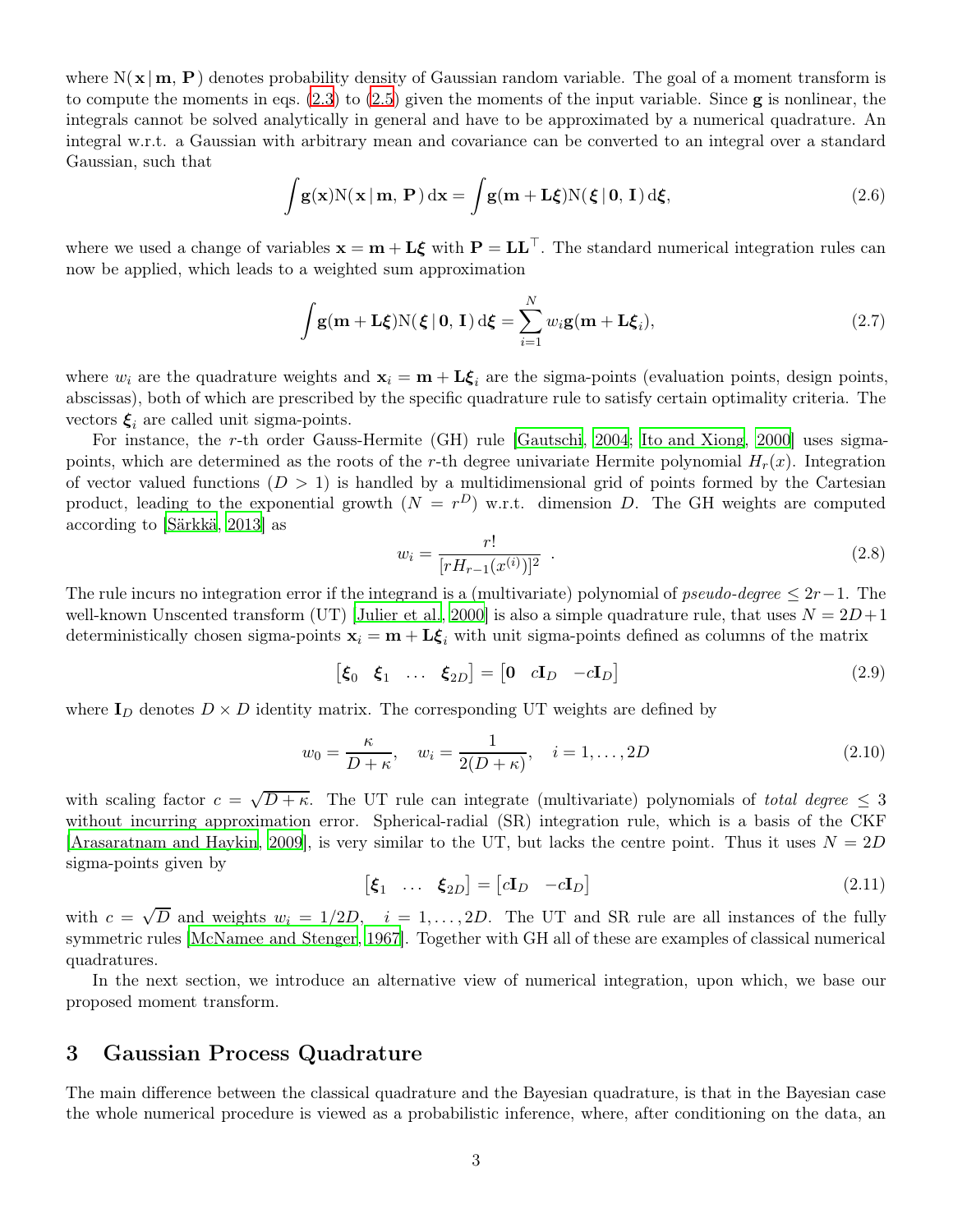where  $N(x | m, P)$  denotes probability density of Gaussian random variable. The goal of a moment transform is to compute the moments in eqs.  $(2.3)$  to  $(2.5)$  given the moments of the input variable. Since **g** is nonlinear, the integrals cannot be solved analytically in general and have to be approximated by a numerical quadrature. An integral w.r.t. a Gaussian with arbitrary mean and covariance can be converted to an integral over a standard Gaussian, such that

<span id="page-2-2"></span>
$$
\int g(\mathbf{x}) N(\mathbf{x} | \mathbf{m}, \mathbf{P}) d\mathbf{x} = \int g(\mathbf{m} + \mathbf{L}\boldsymbol{\xi}) N(\boldsymbol{\xi} | \mathbf{0}, \mathbf{I}) d\boldsymbol{\xi},
$$
\n(2.6)

where we used a change of variables  $x = m + L\xi$  with  $P = LL^{\top}$ . The standard numerical integration rules can now be applied, which leads to a weighted sum approximation

<span id="page-2-1"></span>
$$
\int \mathbf{g}(\mathbf{m} + \mathbf{L}\boldsymbol{\xi}) \mathbf{N}(\boldsymbol{\xi} \mid \mathbf{0}, \mathbf{I}) \, d\boldsymbol{\xi} = \sum_{i=1}^{N} w_i \mathbf{g}(\mathbf{m} + \mathbf{L}\boldsymbol{\xi}_i),
$$
\n(2.7)

where  $w_i$  are the quadrature weights and  $x_i = m + \mathbf{L}\boldsymbol{\xi}_i$  are the sigma-points (evaluation points, design points, abscissas), both of which are prescribed by the specific quadrature rule to satisfy certain optimality criteria. The vectors  $\xi_i$  are called unit sigma-points.

For instance, the r-th order Gauss-Hermite (GH) rule [\[Gautschi](#page-15-7), [2004](#page-15-7); [Ito and Xiong](#page-15-11), [2000](#page-15-11)] uses sigmapoints, which are determined as the roots of the r-th degree univariate Hermite polynomial  $H_r(x)$ . Integration of vector valued functions  $(D > 1)$  is handled by a multidimensional grid of points formed by the Cartesian product, leading to the exponential growth  $(N = r^D)$  w.r.t. dimension D. The GH weights are computed according to [\[Särkkä, 2013\]](#page-16-11) as

$$
w_i = \frac{r!}{[rH_{r-1}(x^{(i)})]^2} \tag{2.8}
$$

The rule incurs no integration error if the integrand is a (multivariate) polynomial of pseudo-degree  $\leq 2r-1$ . The well-known Unscented transform (UT) [\[Julier et al., 2000](#page-15-6)] is also a simple quadrature rule, that uses  $N = 2D + 1$ deterministically chosen sigma-points  $x_i = m + L\xi_i$  with unit sigma-points defined as columns of the matrix

$$
\begin{bmatrix} \xi_0 & \xi_1 & \dots & \xi_{2D} \end{bmatrix} = \begin{bmatrix} 0 & cI_D & -cI_D \end{bmatrix}
$$
\n(2.9)

where  $I_D$  denotes  $D \times D$  identity matrix. The corresponding UT weights are defined by

$$
w_0 = \frac{\kappa}{D + \kappa}, \quad w_i = \frac{1}{2(D + \kappa)}, \quad i = 1, ..., 2D
$$
\n(2.10)

with scaling factor  $c = \sqrt{D + \kappa}$ . The UT rule can integrate (multivariate) polynomials of *total degree*  $\leq 3$ without incurring approximation error. Spherical-radial (SR) integration rule, which is a basis of the CKF Arasaratnam and Haykin, 2009, is very similar to the UT, but lacks the centre point. Thus it uses  $N = 2D$ sigma-points given by

$$
\begin{bmatrix} \boldsymbol{\xi}_1 & \dots & \boldsymbol{\xi}_{2D} \end{bmatrix} = \begin{bmatrix} c\mathbf{I}_D & -c\mathbf{I}_D \end{bmatrix} \tag{2.11}
$$

with  $c = \sqrt{D}$  and weights  $w_i = 1/2D$ ,  $i = 1, ..., 2D$ . The UT and SR rule are all instances of the fully symmetric rules [\[McNamee and Stenger, 1967](#page-16-12)]. Together with GH all of these are examples of classical numerical quadratures.

In the next section, we introduce an alternative view of numerical integration, upon which, we base our proposed moment transform.

### <span id="page-2-0"></span>3 Gaussian Process Quadrature

The main difference between the classical quadrature and the Bayesian quadrature, is that in the Bayesian case the whole numerical procedure is viewed as a probabilistic inference, where, after conditioning on the data, an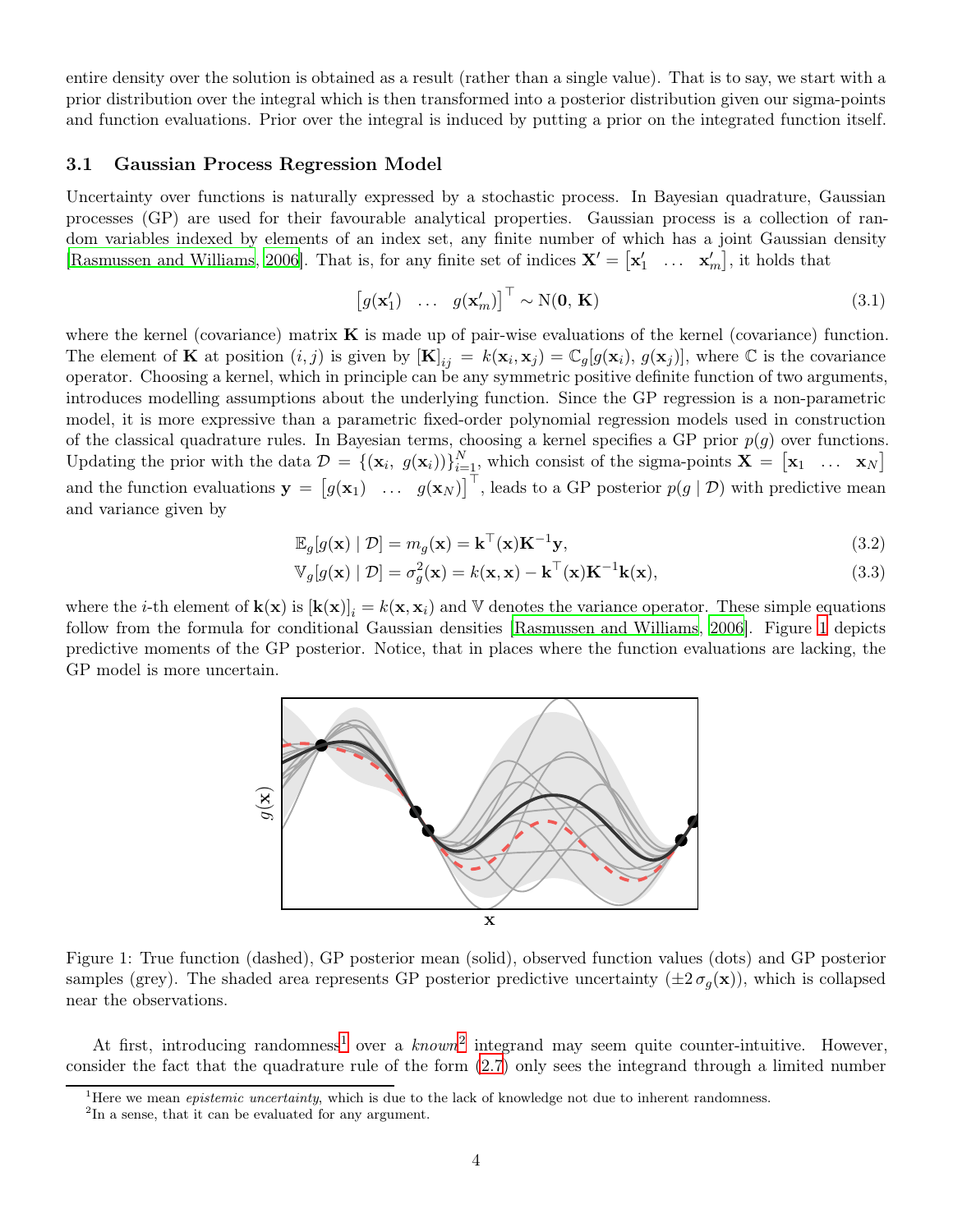entire density over the solution is obtained as a result (rather than a single value). That is to say, we start with a prior distribution over the integral which is then transformed into a posterior distribution given our sigma-points and function evaluations. Prior over the integral is induced by putting a prior on the integrated function itself.

#### <span id="page-3-5"></span>3.1 Gaussian Process Regression Model

Uncertainty over functions is naturally expressed by a stochastic process. In Bayesian quadrature, Gaussian processes (GP) are used for their favourable analytical properties. Gaussian process is a collection of random variables indexed by elements of an index set, any finite number of which has a joint Gaussian density [\[Rasmussen and Williams, 2006](#page-16-13)]. That is, for any finite set of indices  $\mathbf{X}' = [\mathbf{x}'_1 \dots \mathbf{x}'_m]$ , it holds that

<span id="page-3-3"></span>
$$
\begin{bmatrix} g(\mathbf{x}'_1) & \dots & g(\mathbf{x}'_m) \end{bmatrix}^\top \sim \mathcal{N}(\mathbf{0}, \mathbf{K})
$$
\n(3.1)

where the kernel (covariance) matrix  $\bf{K}$  is made up of pair-wise evaluations of the kernel (covariance) function. The element of **K** at position  $(i, j)$  is given by  $[\mathbf{K}]_{ij} = k(\mathbf{x}_i, \mathbf{x}_j) = \mathbb{C}_g[g(\mathbf{x}_i), g(\mathbf{x}_j)]$ , where  $\mathbb{C}$  is the covariance operator. Choosing a kernel, which in principle can be any symmetric positive definite function of two arguments, introduces modelling assumptions about the underlying function. Since the GP regression is a non-parametric model, it is more expressive than a parametric fixed-order polynomial regression models used in construction of the classical quadrature rules. In Bayesian terms, choosing a kernel specifies a GP prior  $p(g)$  over functions. Updating the prior with the data  $\mathcal{D} = \{(\mathbf{x}_i, g(\mathbf{x}_i))\}_{i=1}^N$ , which consist of the sigma-points  $\mathbf{X} = [\mathbf{x}_1 \dots \mathbf{x}_N]$ and the function evaluations  $\mathbf{y} = \begin{bmatrix} g(\mathbf{x}_1) & \dots & g(\mathbf{x}_N) \end{bmatrix}^\top$ , leads to a GP posterior  $p(g | \mathcal{D})$  with predictive mean and variance given by

<span id="page-3-4"></span>
$$
\mathbb{E}_{g}[g(\mathbf{x}) \mid \mathcal{D}] = m_g(\mathbf{x}) = \mathbf{k}^{\top}(\mathbf{x})\mathbf{K}^{-1}\mathbf{y},\tag{3.2}
$$

$$
\mathbb{V}_g[g(\mathbf{x}) \mid \mathcal{D}] = \sigma_g^2(\mathbf{x}) = k(\mathbf{x}, \mathbf{x}) - \mathbf{k}^\top(\mathbf{x})\mathbf{K}^{-1}\mathbf{k}(\mathbf{x}),\tag{3.3}
$$

<span id="page-3-0"></span>where the *i*-th element of  $\mathbf{k}(\mathbf{x})$  is  $[\mathbf{k}(\mathbf{x})]_i = k(\mathbf{x}, \mathbf{x}_i)$  and V denotes the variance operator. These simple equations follow from the formula for conditional Gaussian densities [\[Rasmussen and Williams](#page-16-13), [2006](#page-16-13)]. Figure [1](#page-3-0) depicts predictive moments of the GP posterior. Notice, that in places where the function evaluations are lacking, the GP model is more uncertain.



Figure 1: True function (dashed), GP posterior mean (solid), observed function values (dots) and GP posterior samples (grey). The shaded area represents GP posterior predictive uncertainty  $(\pm 2 \sigma_q(\mathbf{x}))$ , which is collapsed near the observations.

At first, introducing randomness<sup>[1](#page-3-1)</sup> over a  $known^2$  $known^2$  integrand may seem quite counter-intuitive. However, consider the fact that the quadrature rule of the form [\(2.7](#page-2-1)) only sees the integrand through a limited number

<sup>&</sup>lt;sup>1</sup>Here we mean *epistemic uncertainty*, which is due to the lack of knowledge not due to inherent randomness.

<span id="page-3-2"></span><span id="page-3-1"></span><sup>&</sup>lt;sup>2</sup>In a sense, that it can be evaluated for any argument.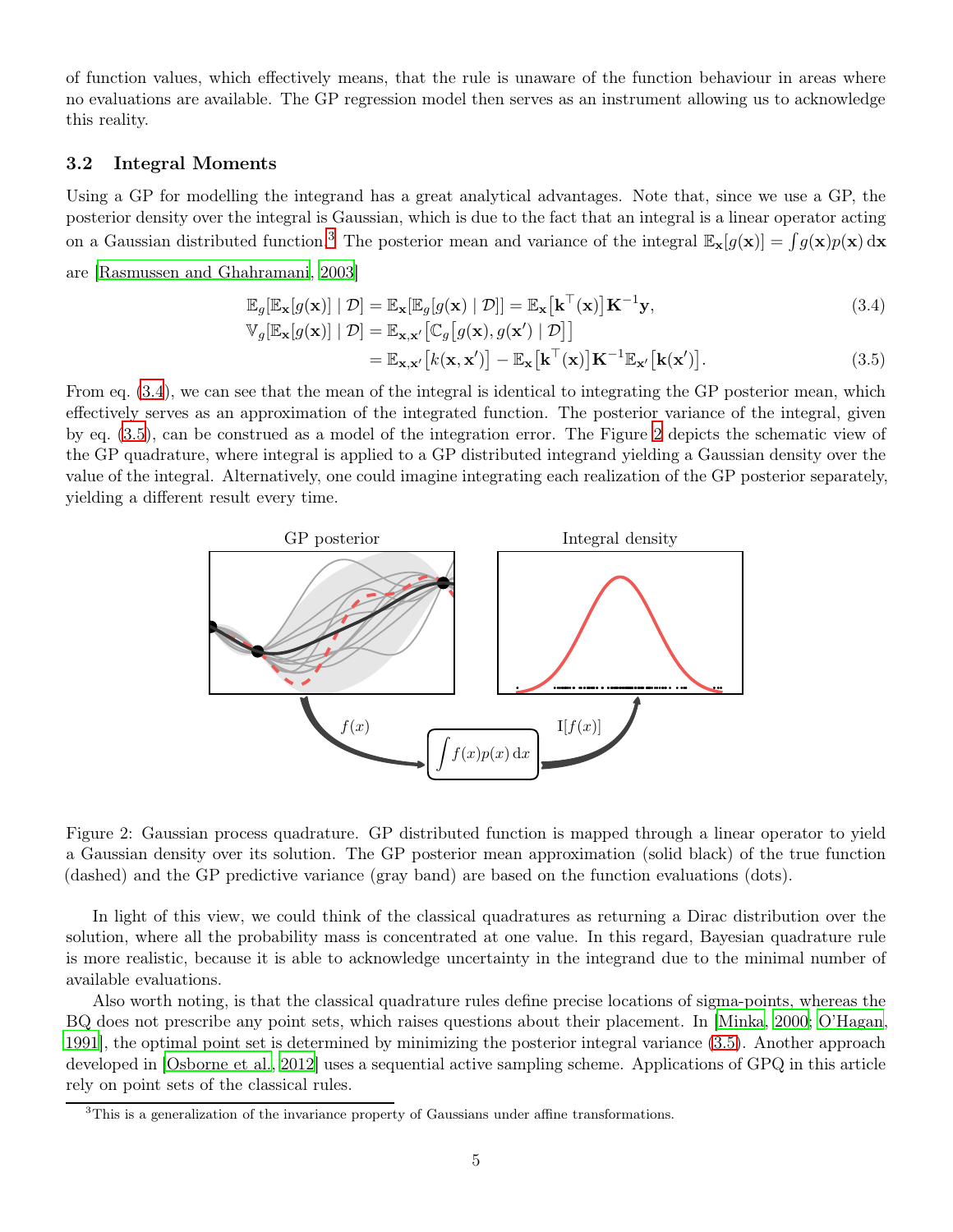of function values, which effectively means, that the rule is unaware of the function behaviour in areas where no evaluations are available. The GP regression model then serves as an instrument allowing us to acknowledge this reality.

#### 3.2 Integral Moments

Using a GP for modelling the integrand has a great analytical advantages. Note that, since we use a GP, the posterior density over the integral is Gaussian, which is due to the fact that an integral is a linear operator acting on a Gaussian distributed function.<sup>[3](#page-4-0)</sup> The posterior mean and variance of the integral  $\mathbb{E}_{\mathbf{x}}[g(\mathbf{x})] = \int g(\mathbf{x})p(\mathbf{x}) d\mathbf{x}$ 

are [\[Rasmussen and Ghahramani](#page-16-4), [2003\]](#page-16-4)

<span id="page-4-1"></span>
$$
\mathbb{E}_{g}[\mathbb{E}_{\mathbf{x}}[g(\mathbf{x})] | \mathcal{D}] = \mathbb{E}_{\mathbf{x}}[\mathbb{E}_{g}[g(\mathbf{x}) | \mathcal{D}]] = \mathbb{E}_{\mathbf{x}}[\mathbf{k}^{\top}(\mathbf{x})] \mathbf{K}^{-1} \mathbf{y},
$$
\n(3.4)

<span id="page-4-2"></span>
$$
\mathbb{V}_g[\mathbb{E}_{\mathbf{x}}[g(\mathbf{x})] | \mathcal{D}] = \mathbb{E}_{\mathbf{x},\mathbf{x}'}[\mathbb{C}_g[g(\mathbf{x}), g(\mathbf{x}') | \mathcal{D}]]
$$
  
=  $\mathbb{E}_{\mathbf{x},\mathbf{x}'}[k(\mathbf{x},\mathbf{x}')] - \mathbb{E}_{\mathbf{x}}[\mathbf{k}^\top(\mathbf{x})]\mathbf{K}^{-1}\mathbb{E}_{\mathbf{x}'}[\mathbf{k}(\mathbf{x}')].$  (3.5)

<span id="page-4-3"></span>From eq. [\(3.4](#page-4-1)), we can see that the mean of the integral is identical to integrating the GP posterior mean, which effectively serves as an approximation of the integrated function. The posterior variance of the integral, given by eq. [\(3.5](#page-4-2)), can be construed as a model of the integration error. The Figure [2](#page-4-3) depicts the schematic view of the GP quadrature, where integral is applied to a GP distributed integrand yielding a Gaussian density over the value of the integral. Alternatively, one could imagine integrating each realization of the GP posterior separately, yielding a different result every time.



Figure 2: Gaussian process quadrature. GP distributed function is mapped through a linear operator to yield a Gaussian density over its solution. The GP posterior mean approximation (solid black) of the true function (dashed) and the GP predictive variance (gray band) are based on the function evaluations (dots).

In light of this view, we could think of the classical quadratures as returning a Dirac distribution over the solution, where all the probability mass is concentrated at one value. In this regard, Bayesian quadrature rule is more realistic, because it is able to acknowledge uncertainty in the integrand due to the minimal number of available evaluations.

Also worth noting, is that the classical quadrature rules define precise locations of sigma-points, whereas the BQ does not prescribe any point sets, which raises questions about their placement. In [\[Minka](#page-16-7), [2000](#page-16-7); [O'Hagan,](#page-16-3) [1991](#page-16-3)], the optimal point set is determined by minimizing the posterior integral variance [\(3.5\)](#page-4-2). Another approach developed in [\[Osborne et al.](#page-16-14), [2012](#page-16-14)] uses a sequential active sampling scheme. Applications of GPQ in this article rely on point sets of the classical rules.

<span id="page-4-0"></span><sup>&</sup>lt;sup>3</sup>This is a generalization of the invariance property of Gaussians under affine transformations.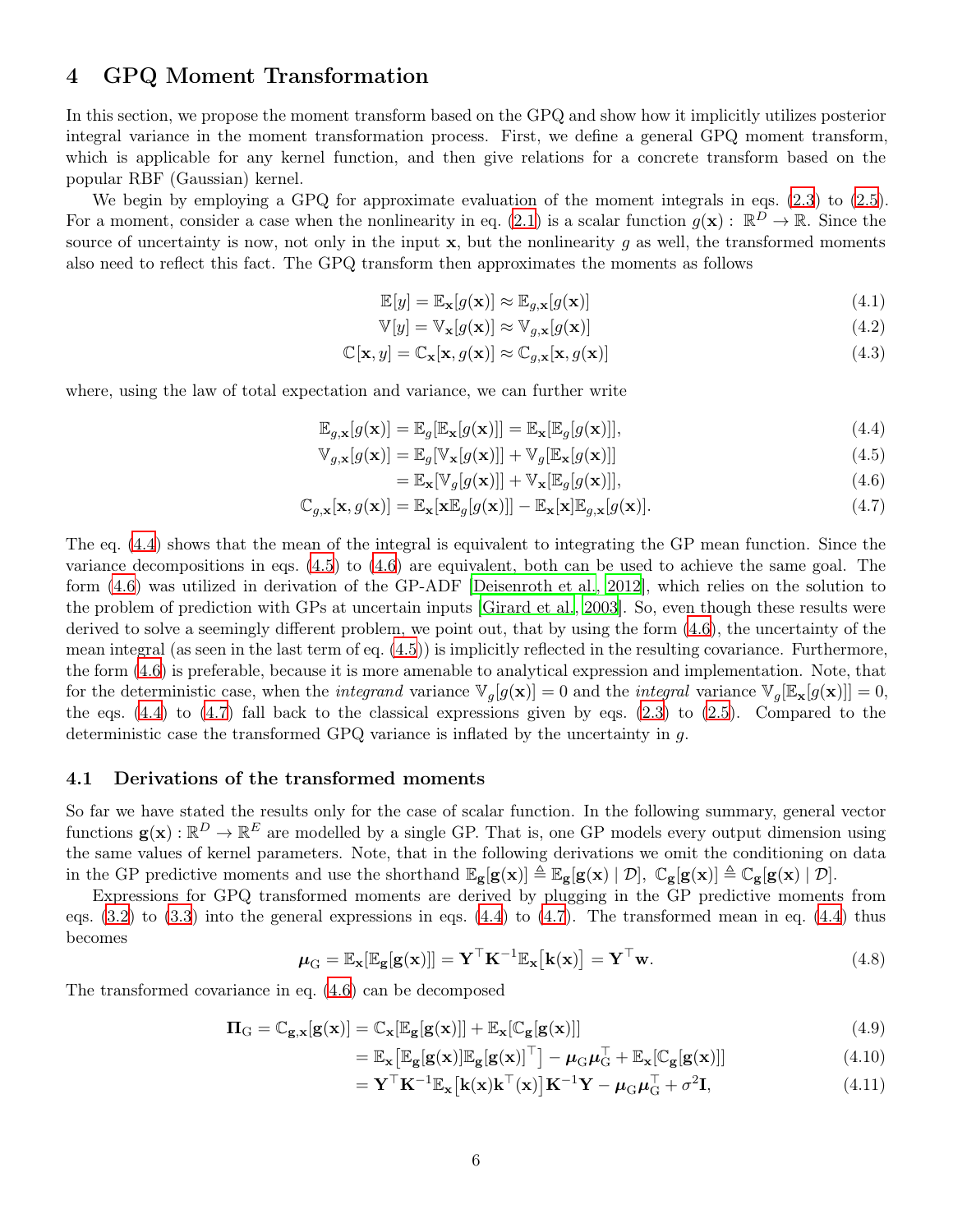## <span id="page-5-0"></span>4 GPQ Moment Transformation

In this section, we propose the moment transform based on the GPQ and show how it implicitly utilizes posterior integral variance in the moment transformation process. First, we define a general GPQ moment transform, which is applicable for any kernel function, and then give relations for a concrete transform based on the popular RBF (Gaussian) kernel.

We begin by employing a GPQ for approximate evaluation of the moment integrals in eqs. [\(2.3](#page-1-1)) to [\(2.5](#page-1-2)). For a moment, consider a case when the nonlinearity in eq. [\(2.1](#page-1-3)) is a scalar function  $g(\mathbf{x}) : \mathbb{R}^D \to \mathbb{R}$ . Since the source of uncertainty is now, not only in the input  $x$ , but the nonlinearity q as well, the transformed moments also need to reflect this fact. The GPQ transform then approximates the moments as follows

$$
\mathbb{E}[y] = \mathbb{E}_{\mathbf{x}}[g(\mathbf{x})] \approx \mathbb{E}_{g,\mathbf{x}}[g(\mathbf{x})]
$$
\n(4.1)

$$
\mathbb{V}[y] = \mathbb{V}_{\mathbf{x}}[g(\mathbf{x})] \approx \mathbb{V}_{g,\mathbf{x}}[g(\mathbf{x})]
$$
\n(4.2)

$$
\mathbb{C}[\mathbf{x}, y] = \mathbb{C}_{\mathbf{x}}[\mathbf{x}, g(\mathbf{x})] \approx \mathbb{C}_{g, \mathbf{x}}[\mathbf{x}, g(\mathbf{x})]
$$
(4.3)

where, using the law of total expectation and variance, we can further write

$$
\mathbb{E}_{g,\mathbf{x}}[g(\mathbf{x})] = \mathbb{E}_g[\mathbb{E}_{\mathbf{x}}[g(\mathbf{x})]] = \mathbb{E}_{\mathbf{x}}[\mathbb{E}_g[g(\mathbf{x})]],
$$
\n(4.4)

$$
\mathbb{V}_{g,\mathbf{x}}[g(\mathbf{x})] = \mathbb{E}_g[\mathbb{V}_{\mathbf{x}}[g(\mathbf{x})]] + \mathbb{V}_g[\mathbb{E}_{\mathbf{x}}[g(\mathbf{x})]] \tag{4.5}
$$

<span id="page-5-4"></span><span id="page-5-3"></span><span id="page-5-2"></span><span id="page-5-1"></span>
$$
= \mathbb{E}_{\mathbf{x}}[\mathbb{V}_g[g(\mathbf{x})]] + \mathbb{V}_{\mathbf{x}}[\mathbb{E}_g[g(\mathbf{x})]],
$$
\n(4.6)

$$
\mathbb{C}_{g,\mathbf{x}}[\mathbf{x}, g(\mathbf{x})] = \mathbb{E}_{\mathbf{x}}[\mathbf{x}\mathbb{E}_g[g(\mathbf{x})]] - \mathbb{E}_{\mathbf{x}}[\mathbf{x}]\mathbb{E}_{g,\mathbf{x}}[g(\mathbf{x})].
$$
\n(4.7)

The eq. [\(4.4\)](#page-5-1) shows that the mean of the integral is equivalent to integrating the GP mean function. Since the variance decompositions in eqs. [\(4.5](#page-5-2)) to [\(4.6\)](#page-5-3) are equivalent, both can be used to achieve the same goal. The form [\(4.6\)](#page-5-3) was utilized in derivation of the GP-ADF [\[Deisenroth et al.](#page-15-12), [2012](#page-15-12)], which relies on the solution to the problem of prediction with GPs at uncertain inputs [\[Girard et al.](#page-15-13), [2003](#page-15-13)]. So, even though these results were derived to solve a seemingly different problem, we point out, that by using the form [\(4.6\)](#page-5-3), the uncertainty of the mean integral (as seen in the last term of eq. [\(4.5](#page-5-2))) is implicitly reflected in the resulting covariance. Furthermore, the form [\(4.6](#page-5-3)) is preferable, because it is more amenable to analytical expression and implementation. Note, that for the deterministic case, when the *integrand* variance  $\mathbb{V}_q[g(\mathbf{x})] = 0$  and the *integral* variance  $\mathbb{V}_q[\mathbb{E}_{\mathbf{x}}[g(\mathbf{x})]] = 0$ , the eqs. [\(4.4\)](#page-5-1) to [\(4.7](#page-5-4)) fall back to the classical expressions given by eqs. [\(2.3](#page-1-1)) to [\(2.5\)](#page-1-2). Compared to the deterministic case the transformed GPQ variance is inflated by the uncertainty in g.

#### 4.1 Derivations of the transformed moments

So far we have stated the results only for the case of scalar function. In the following summary, general vector functions  $g(x): \mathbb{R}^D \to \mathbb{R}^E$  are modelled by a single GP. That is, one GP models every output dimension using the same values of kernel parameters. Note, that in the following derivations we omit the conditioning on data in the GP predictive moments and use the shorthand  $\mathbb{E}_{g}[g(x)] \triangleq \mathbb{E}_{g}[g(x) | \mathcal{D}], \mathbb{C}_{g}[g(x)] \triangleq \mathbb{C}_{g}[g(x) | \mathcal{D}].$ 

Expressions for GPQ transformed moments are derived by plugging in the GP predictive moments from eqs.  $(3.2)$  to  $(3.3)$  into the general expressions in eqs.  $(4.4)$  to  $(4.7)$ . The transformed mean in eq.  $(4.4)$  thus becomes

$$
\boldsymbol{\mu}_{\mathbf{G}} = \mathbb{E}_{\mathbf{x}}[\mathbb{E}_{\mathbf{g}}[\mathbf{g}(\mathbf{x})]] = \mathbf{Y}^{\top}\mathbf{K}^{-1}\mathbb{E}_{\mathbf{x}}[\mathbf{k}(\mathbf{x})] = \mathbf{Y}^{\top}\mathbf{w}.
$$
\n(4.8)

The transformed covariance in eq. [\(4.6](#page-5-3)) can be decomposed

$$
\Pi_{\mathcal{G}} = \mathbb{C}_{\mathbf{g},\mathbf{x}}[\mathbf{g}(\mathbf{x})] = \mathbb{C}_{\mathbf{x}}[\mathbb{E}_{\mathbf{g}}[\mathbf{g}(\mathbf{x})]] + \mathbb{E}_{\mathbf{x}}[\mathbb{C}_{\mathbf{g}}[\mathbf{g}(\mathbf{x})]] \tag{4.9}
$$

$$
= \mathbb{E}_{\mathbf{x}} \big[ \mathbb{E}_{\mathbf{g}}[\mathbf{g}(\mathbf{x})] \mathbb{E}_{\mathbf{g}}[\mathbf{g}(\mathbf{x})]^{\top} \big] - \mu_{\mathrm{G}} \mu_{\mathrm{G}}^{\top} + \mathbb{E}_{\mathbf{x}} [\mathbb{C}_{\mathbf{g}}[\mathbf{g}(\mathbf{x})]] \tag{4.10}
$$

$$
= \mathbf{Y}^{\top} \mathbf{K}^{-1} \mathbb{E}_{\mathbf{x}} \left[ \mathbf{k}(\mathbf{x}) \mathbf{k}^{\top}(\mathbf{x}) \right] \mathbf{K}^{-1} \mathbf{Y} - \mu_{\mathbf{G}} \mu_{\mathbf{G}}^{\top} + \sigma^2 \mathbf{I}, \tag{4.11}
$$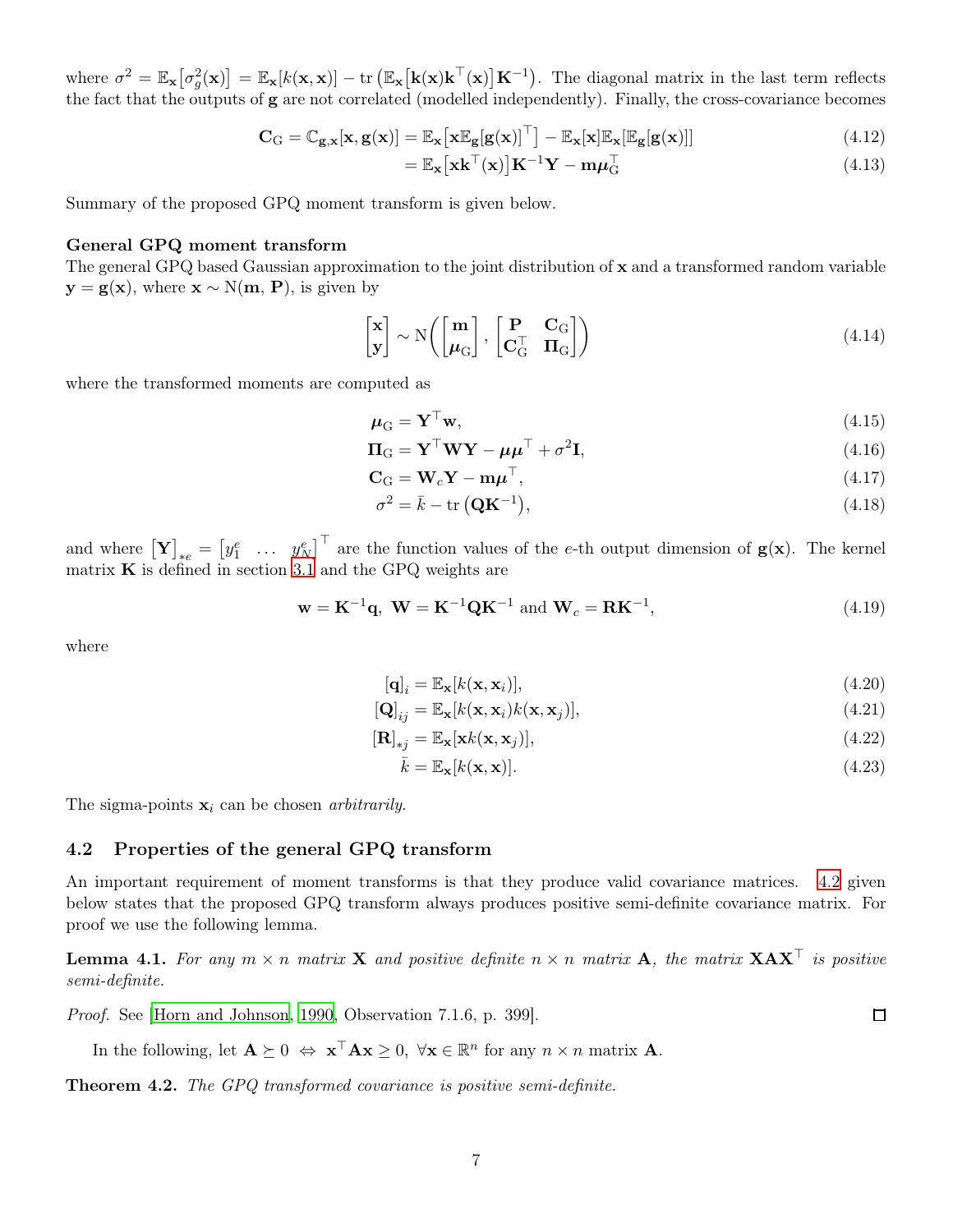where  $\sigma^2 = \mathbb{E}_{\mathbf{x}}[\sigma_g^2(\mathbf{x})] = \mathbb{E}_{\mathbf{x}}[k(\mathbf{x}, \mathbf{x})] - \text{tr}(\mathbb{E}_{\mathbf{x}}[\mathbf{k}(\mathbf{x})\mathbf{k}^\top(\mathbf{x})]\mathbf{K}^{-1})$ . The diagonal matrix in the last term reflects the fact that the outputs of g are not correlated (modelled independently). Finally, the cross-covariance becomes

$$
\mathbf{C}_{\mathrm{G}} = \mathbb{C}_{\mathbf{g},\mathbf{x}}[\mathbf{x},\mathbf{g}(\mathbf{x})] = \mathbb{E}_{\mathbf{x}}\big[\mathbf{x}\mathbb{E}_{\mathbf{g}}[\mathbf{g}(\mathbf{x})]^{\top}\big] - \mathbb{E}_{\mathbf{x}}[\mathbf{x}]\mathbb{E}_{\mathbf{x}}[\mathbb{E}_{\mathbf{g}}[\mathbf{g}(\mathbf{x})]] \tag{4.12}
$$

$$
= \mathbb{E}_{\mathbf{x}} \left[ \mathbf{x} \mathbf{k}^{\top}(\mathbf{x}) \right] \mathbf{K}^{-1} \mathbf{Y} - \mathbf{m} \boldsymbol{\mu}_{\mathbf{G}}^{\top} \tag{4.13}
$$

Summary of the proposed GPQ moment transform is given below.

#### General GPQ moment transform

The general GPQ based Gaussian approximation to the joint distribution of x and a transformed random variable  $y = g(x)$ , where  $x \sim N(m, P)$ , is given by

$$
\begin{bmatrix} \mathbf{x} \\ \mathbf{y} \end{bmatrix} \sim N \left( \begin{bmatrix} \mathbf{m} \\ \boldsymbol{\mu}_{G} \end{bmatrix}, \begin{bmatrix} \mathbf{P} & \mathbf{C}_{G} \\ \mathbf{C}_{G}^{\top} & \mathbf{\Pi}_{G} \end{bmatrix} \right)
$$
(4.14)

where the transformed moments are computed as

$$
\mu_{\mathbf{G}} = \mathbf{Y}^{\top}\mathbf{w},\tag{4.15}
$$

$$
\Pi_{\mathbf{G}} = \mathbf{Y}^{\top} \mathbf{W} \mathbf{Y} - \boldsymbol{\mu} \boldsymbol{\mu}^{\top} + \sigma^2 \mathbf{I},\tag{4.16}
$$

$$
\mathbf{C}_{\mathbf{G}} = \mathbf{W}_c \mathbf{Y} - \mathbf{m} \boldsymbol{\mu}^\top,\tag{4.17}
$$

$$
\sigma^2 = \bar{k} - \text{tr}(\mathbf{Q}\mathbf{K}^{-1}),\tag{4.18}
$$

and where  $\begin{bmatrix} \mathbf{Y} \end{bmatrix}_{*e} = \begin{bmatrix} y_1^e & \dots & y_N^e \end{bmatrix}^\top$  are the function values of the e-th output dimension of  $\mathbf{g}(\mathbf{x})$ . The kernel matrix  $\bf{K}$  is defined in section [3.1](#page-3-5) and the GPQ weights are

<span id="page-6-1"></span>
$$
\mathbf{w} = \mathbf{K}^{-1} \mathbf{q}, \ \mathbf{W} = \mathbf{K}^{-1} \mathbf{Q} \mathbf{K}^{-1} \text{ and } \mathbf{W}_c = \mathbf{R} \mathbf{K}^{-1}, \tag{4.19}
$$

where

$$
[\mathbf{q}]_i = \mathbb{E}_{\mathbf{x}}[k(\mathbf{x}, \mathbf{x}_i)],\tag{4.20}
$$

$$
[\mathbf{Q}]_{ij} = \mathbb{E}_{\mathbf{x}}[k(\mathbf{x}, \mathbf{x}_i)k(\mathbf{x}, \mathbf{x}_j)],
$$
\n(4.21)

$$
[\mathbf{R}]_{*j} = \mathbb{E}_{\mathbf{x}}[\mathbf{x}k(\mathbf{x}, \mathbf{x}_j)],\tag{4.22}
$$

$$
\bar{k} = \mathbb{E}_{\mathbf{x}}[k(\mathbf{x}, \mathbf{x})]. \tag{4.23}
$$

The sigma-points  $x_i$  can be chosen *arbitrarily*.

#### 4.2 Properties of the general GPQ transform

An important requirement of moment transforms is that they produce valid covariance matrices. [4.2](#page-6-0) given below states that the proposed GPQ transform always produces positive semi-definite covariance matrix. For proof we use the following lemma.

<span id="page-6-2"></span>**Lemma 4.1.** For any  $m \times n$  matrix **X** and positive definite  $n \times n$  matrix **A**, the matrix **XAX**<sup>™</sup> is positive semi-definite.

Proof. See [\[Horn and Johnson](#page-15-14), [1990](#page-15-14), Observation 7.1.6, p. 399].

In the following, let  $\mathbf{A} \succeq 0 \Leftrightarrow \mathbf{x}^{\top} \mathbf{A} \mathbf{x} \geq 0$ ,  $\forall \mathbf{x} \in \mathbb{R}^n$  for any  $n \times n$  matrix  $\mathbf{A}$ .

<span id="page-6-0"></span>Theorem 4.2. The GPQ transformed covariance is positive semi-definite.

<span id="page-6-4"></span><span id="page-6-3"></span> $\Box$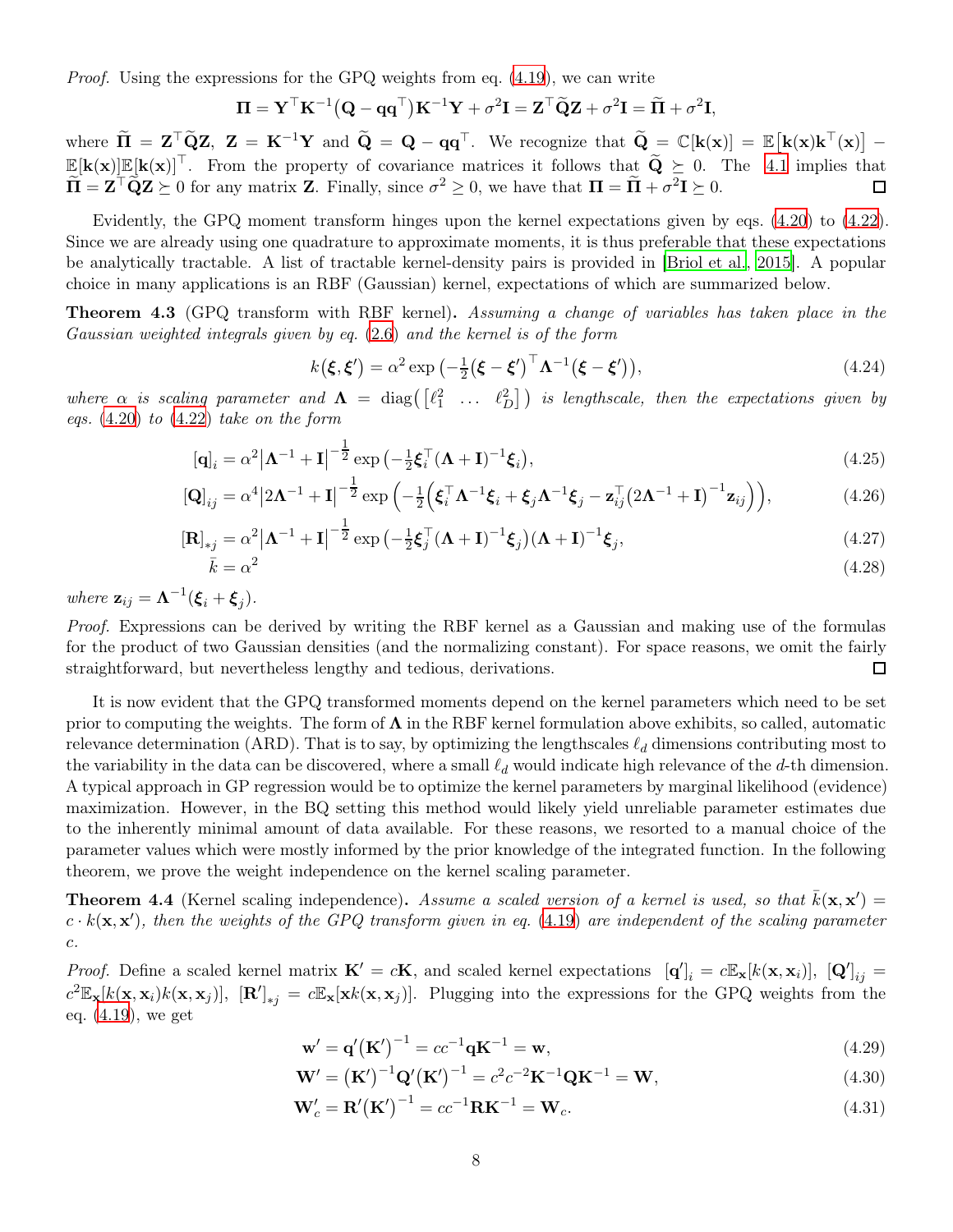*Proof.* Using the expressions for the GPQ weights from eq.  $(4.19)$ , we can write

$$
\mathbf{\Pi} = \mathbf{Y}^{\top} \mathbf{K}^{-1} (\mathbf{Q} - \mathbf{q} \mathbf{q}^{\top}) \mathbf{K}^{-1} \mathbf{Y} + \sigma^2 \mathbf{I} = \mathbf{Z}^{\top} \widetilde{\mathbf{Q}} \mathbf{Z} + \sigma^2 \mathbf{I} = \widetilde{\mathbf{\Pi}} + \sigma^2 \mathbf{I},
$$

where  $\widetilde{\mathbf{\Pi}} = \mathbf{Z}^{\top} \widetilde{\mathbf{Q}} \mathbf{Z}, \ \mathbf{Z} = \mathbf{K}^{-1} \mathbf{Y}$  and  $\widetilde{\mathbf{Q}} = \mathbf{Q} - \mathbf{q} \mathbf{q}^{\top}$ . We recognize that  $\widetilde{\mathbf{Q}} = \mathbb{C}[\mathbf{k}(\mathbf{x})] = \mathbb{E}[\mathbf{k}(\mathbf{x}) \mathbf{k}^{\top}(\mathbf{x})] \mathbb{E}[\mathbf{k}(\mathbf{x})] \mathbb{E}[\mathbf{k}(\mathbf{x})]^\top$ . From the property of covariance matrices it follows that  $\widetilde{\mathbf{Q}} \geq 0$ . The [4.1](#page-6-2) implies that  $\widetilde{\mathbf{\Pi}} = \mathbf{Z}^{\top} \widetilde{\mathbf{Q}} \mathbf{Z} \succeq 0$  for any matrix **Z**. Finally, since  $\sigma^2 \geq 0$ , we have that  $\mathbf{\Pi} = \widetilde{\mathbf{\Pi}} + \sigma^2 \mathbf{I} \succeq 0$ .

Evidently, the GPQ moment transform hinges upon the kernel expectations given by eqs. [\(4.20\)](#page-6-3) to [\(4.22](#page-6-4)). Since we are already using one quadrature to approximate moments, it is thus preferable that these expectations be analytically tractable. A list of tractable kernel-density pairs is provided in [\[Briol et al., 2015](#page-15-9)]. A popular choice in many applications is an RBF (Gaussian) kernel, expectations of which are summarized below.

Theorem 4.3 (GPQ transform with RBF kernel). Assuming a change of variables has taken place in the Gaussian weighted integrals given by eq. [\(2.6](#page-2-2)) and the kernel is of the form

<span id="page-7-0"></span>
$$
k(\boldsymbol{\xi}, \boldsymbol{\xi}') = \alpha^2 \exp\left(-\frac{1}{2}(\boldsymbol{\xi} - \boldsymbol{\xi}')^\top \boldsymbol{\Lambda}^{-1}(\boldsymbol{\xi} - \boldsymbol{\xi}')\right),\tag{4.24}
$$

where  $\alpha$  is scaling parameter and  $\mathbf{\Lambda} = \text{diag}(\begin{bmatrix} \ell_1^2 & \dots & \ell_D^2 \end{bmatrix})$  is lengthscale, then the expectations given by eqs.  $(4.20)$  to  $(4.22)$  $(4.22)$  take on the form

$$
\left[\mathbf{q}\right]_i = \alpha^2 \left|\mathbf{\Lambda}^{-1} + \mathbf{I}\right|^{-\frac{1}{2}} \exp\left(-\frac{1}{2}\boldsymbol{\xi}_i^\top (\mathbf{\Lambda} + \mathbf{I})^{-1} \boldsymbol{\xi}_i\right),\tag{4.25}
$$

$$
\left[\mathbf{Q}\right]_{ij} = \alpha^4 \left|2\mathbf{\Lambda}^{-1} + \mathbf{I}\right|^{-\frac{1}{2}} \exp\left(-\frac{1}{2}\left(\boldsymbol{\xi}_i^{\top}\mathbf{\Lambda}^{-1}\boldsymbol{\xi}_i + \boldsymbol{\xi}_j\mathbf{\Lambda}^{-1}\boldsymbol{\xi}_j - \mathbf{z}_{ij}^{\top}\left(2\mathbf{\Lambda}^{-1} + \mathbf{I}\right)^{-1}\mathbf{z}_{ij}\right)\right),\tag{4.26}
$$

$$
\left[\mathbf{R}\right]_{\ast j} = \alpha^2 \left|\mathbf{\Lambda}^{-1} + \mathbf{I}\right|^{-\frac{1}{2}} \exp\left(-\frac{1}{2}\boldsymbol{\xi}_j^{\top}(\mathbf{\Lambda} + \mathbf{I})^{-1}\boldsymbol{\xi}_j\right) (\mathbf{\Lambda} + \mathbf{I})^{-1}\boldsymbol{\xi}_j,\tag{4.27}
$$

$$
\bar{k} = \alpha^2 \tag{4.28}
$$

where  $\mathbf{z}_{ij} = \mathbf{\Lambda}^{-1}(\boldsymbol{\xi}_i + \boldsymbol{\xi}_j).$ 

Proof. Expressions can be derived by writing the RBF kernel as a Gaussian and making use of the formulas for the product of two Gaussian densities (and the normalizing constant). For space reasons, we omit the fairly straightforward, but nevertheless lengthy and tedious, derivations.  $\Box$ 

It is now evident that the GPQ transformed moments depend on the kernel parameters which need to be set prior to computing the weights. The form of  $\Lambda$  in the RBF kernel formulation above exhibits, so called, automatic relevance determination (ARD). That is to say, by optimizing the lengthscales  $\ell_d$  dimensions contributing most to the variability in the data can be discovered, where a small  $\ell_d$  would indicate high relevance of the d-th dimension. A typical approach in GP regression would be to optimize the kernel parameters by marginal likelihood (evidence) maximization. However, in the BQ setting this method would likely yield unreliable parameter estimates due to the inherently minimal amount of data available. For these reasons, we resorted to a manual choice of the parameter values which were mostly informed by the prior knowledge of the integrated function. In the following theorem, we prove the weight independence on the kernel scaling parameter.

**Theorem 4.4** (Kernel scaling independence). Assume a scaled version of a kernel is used, so that  $\bar{k}(\mathbf{x}, \mathbf{x}') =$  $c \cdot k(\mathbf{x}, \mathbf{x}')$ , then the weights of the GPQ transform given in eq. [\(4.19](#page-6-1)) are independent of the scaling parameter c.

*Proof.* Define a scaled kernel matrix  $\mathbf{K}' = c\mathbf{K}$ , and scaled kernel expectations  $[\mathbf{q}']_i = c\mathbb{E}_{\mathbf{x}}[k(\mathbf{x}, \mathbf{x}_i)], [\mathbf{Q}']_{ij} =$  $c^2 \mathbb{E}_{\mathbf{x}}[k(\mathbf{x}, \mathbf{x}_i)k(\mathbf{x}, \mathbf{x}_j)]$ ,  $[\mathbf{R}']_{*j} = c \mathbb{E}_{\mathbf{x}}[\mathbf{x}k(\mathbf{x}, \mathbf{x}_j)]$ . Plugging into the expressions for the GPQ weights from the eq. [\(4.19](#page-6-1)), we get

$$
\mathbf{w}' = \mathbf{q}' (\mathbf{K}')^{-1} = cc^{-1} \mathbf{q} \mathbf{K}^{-1} = \mathbf{w},
$$
\n(4.29)

$$
\mathbf{W}' = (\mathbf{K}')^{-1} \mathbf{Q}' (\mathbf{K}')^{-1} = c^2 c^{-2} \mathbf{K}^{-1} \mathbf{Q} \mathbf{K}^{-1} = \mathbf{W},
$$
\n(4.30)

$$
\mathbf{W}'_c = \mathbf{R}' (\mathbf{K}')^{-1} = cc^{-1} \mathbf{R} \mathbf{K}^{-1} = \mathbf{W}_c.
$$
 (4.31)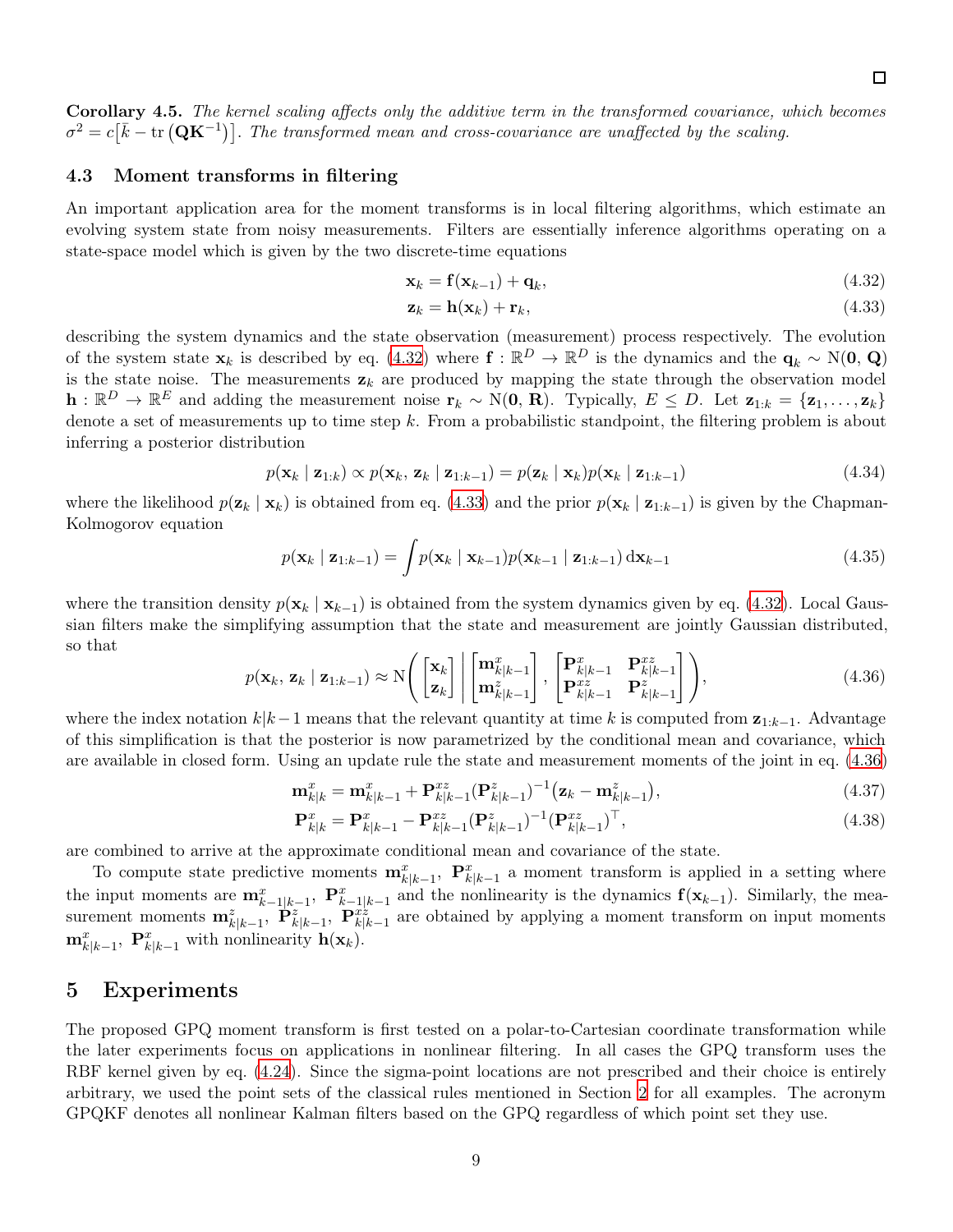Corollary 4.5. The kernel scaling affects only the additive term in the transformed covariance, which becomes  $\sigma^2 = c[\bar{k} - \text{tr}(\mathbf{Q}\mathbf{K}^{-1})]$ . The transformed mean and cross-covariance are unaffected by the scaling.

#### 4.3 Moment transforms in filtering

An important application area for the moment transforms is in local filtering algorithms, which estimate an evolving system state from noisy measurements. Filters are essentially inference algorithms operating on a state-space model which is given by the two discrete-time equations

<span id="page-8-1"></span>
$$
\mathbf{x}_k = \mathbf{f}(\mathbf{x}_{k-1}) + \mathbf{q}_k,\tag{4.32}
$$

<span id="page-8-2"></span>
$$
\mathbf{z}_k = \mathbf{h}(\mathbf{x}_k) + \mathbf{r}_k,\tag{4.33}
$$

describing the system dynamics and the state observation (measurement) process respectively. The evolution of the system state  $\mathbf{x}_k$  is described by eq. [\(4.32\)](#page-8-1) where  $\mathbf{f} : \mathbb{R}^D \to \mathbb{R}^D$  is the dynamics and the  $\mathbf{q}_k \sim \mathrm{N}(\mathbf{0}, \mathbf{Q})$ is the state noise. The measurements  $z_k$  are produced by mapping the state through the observation model  $\mathbf{h}: \mathbb{R}^D \to \mathbb{R}^E$  and adding the measurement noise  $\mathbf{r}_k \sim \mathrm{N}(\mathbf{0}, \mathbf{R})$ . Typically,  $E \leq D$ . Let  $\mathbf{z}_{1:k} = {\mathbf{z}_{1}, \ldots, \mathbf{z}_{k}}$ denote a set of measurements up to time step k. From a probabilistic standpoint, the filtering problem is about inferring a posterior distribution

$$
p(\mathbf{x}_k \mid \mathbf{z}_{1:k}) \propto p(\mathbf{x}_k, \mathbf{z}_k \mid \mathbf{z}_{1:k-1}) = p(\mathbf{z}_k \mid \mathbf{x}_k) p(\mathbf{x}_k \mid \mathbf{z}_{1:k-1})
$$
\n(4.34)

where the likelihood  $p(\mathbf{z}_k | \mathbf{x}_k)$  is obtained from eq. [\(4.33](#page-8-2)) and the prior  $p(\mathbf{x}_k | \mathbf{z}_{1:k-1})$  is given by the Chapman-Kolmogorov equation

$$
p(\mathbf{x}_k \mid \mathbf{z}_{1:k-1}) = \int p(\mathbf{x}_k \mid \mathbf{x}_{k-1}) p(\mathbf{x}_{k-1} \mid \mathbf{z}_{1:k-1}) \, d\mathbf{x}_{k-1}
$$
\n(4.35)

where the transition density  $p(\mathbf{x}_k | \mathbf{x}_{k-1})$  is obtained from the system dynamics given by eq. [\(4.32](#page-8-1)). Local Gaussian filters make the simplifying assumption that the state and measurement are jointly Gaussian distributed, so that

<span id="page-8-3"></span>
$$
p(\mathbf{x}_k, \mathbf{z}_k \mid \mathbf{z}_{1:k-1}) \approx \mathcal{N}\Bigg(\begin{bmatrix} \mathbf{x}_k \\ \mathbf{z}_k \end{bmatrix} \bigg| \begin{bmatrix} \mathbf{m}_{k|k-1}^x \\ \mathbf{m}_{k|k-1}^z \end{bmatrix}, \begin{bmatrix} \mathbf{P}_{k|k-1}^x & \mathbf{P}_{k|k-1}^{xz} \\ \mathbf{P}_{k|k-1}^{xz} & \mathbf{P}_{k|k-1}^z \end{bmatrix}\Bigg), \tag{4.36}
$$

where the index notation  $k|k-1$  means that the relevant quantity at time k is computed from  $z_{1:k-1}$ . Advantage of this simplification is that the posterior is now parametrized by the conditional mean and covariance, which are available in closed form. Using an update rule the state and measurement moments of the joint in eq. [\(4.36](#page-8-3))

$$
\mathbf{m}_{k|k}^{x} = \mathbf{m}_{k|k-1}^{x} + \mathbf{P}_{k|k-1}^{xz} (\mathbf{P}_{k|k-1}^{z})^{-1} (\mathbf{z}_{k} - \mathbf{m}_{k|k-1}^{z}),
$$
\n(4.37)

$$
\mathbf{P}_{k|k}^{x} = \mathbf{P}_{k|k-1}^{x} - \mathbf{P}_{k|k-1}^{xz} (\mathbf{P}_{k|k-1}^{z})^{-1} (\mathbf{P}_{k|k-1}^{xz})^{\top},
$$
\n(4.38)

are combined to arrive at the approximate conditional mean and covariance of the state.

To compute state predictive moments  $\mathbf{m}_{k|k-1}^x$ ,  $\mathbf{P}_{k|k-1}^x$  a moment transform is applied in a setting where the input moments are  $\mathbf{m}_{k-1|k-1}^x$ ,  $\mathbf{P}_{k-1|k-1}^x$  and the nonlinearity is the dynamics  $\mathbf{f}(\mathbf{x}_{k-1})$ . Similarly, the measurement moments  $\mathbf{m}_{k|k-1}^z$ ,  $\mathbf{P}_{k|k-1}^{z}$ ,  $\mathbf{P}_{k|k-1}^{z}$  are obtained by applying a moment transform on input moments  $\mathbf{m}_{k|k-1}^x$ ,  $\mathbf{P}_{k|k-1}^x$  with nonlinearity  $\mathbf{h}(\mathbf{x}_k)$ .

### <span id="page-8-0"></span>5 Experiments

The proposed GPQ moment transform is first tested on a polar-to-Cartesian coordinate transformation while the later experiments focus on applications in nonlinear filtering. In all cases the GPQ transform uses the RBF kernel given by eq. [\(4.24](#page-7-0)). Since the sigma-point locations are not prescribed and their choice is entirely arbitrary, we used the point sets of the classical rules mentioned in Section [2](#page-1-0) for all examples. The acronym GPQKF denotes all nonlinear Kalman filters based on the GPQ regardless of which point set they use.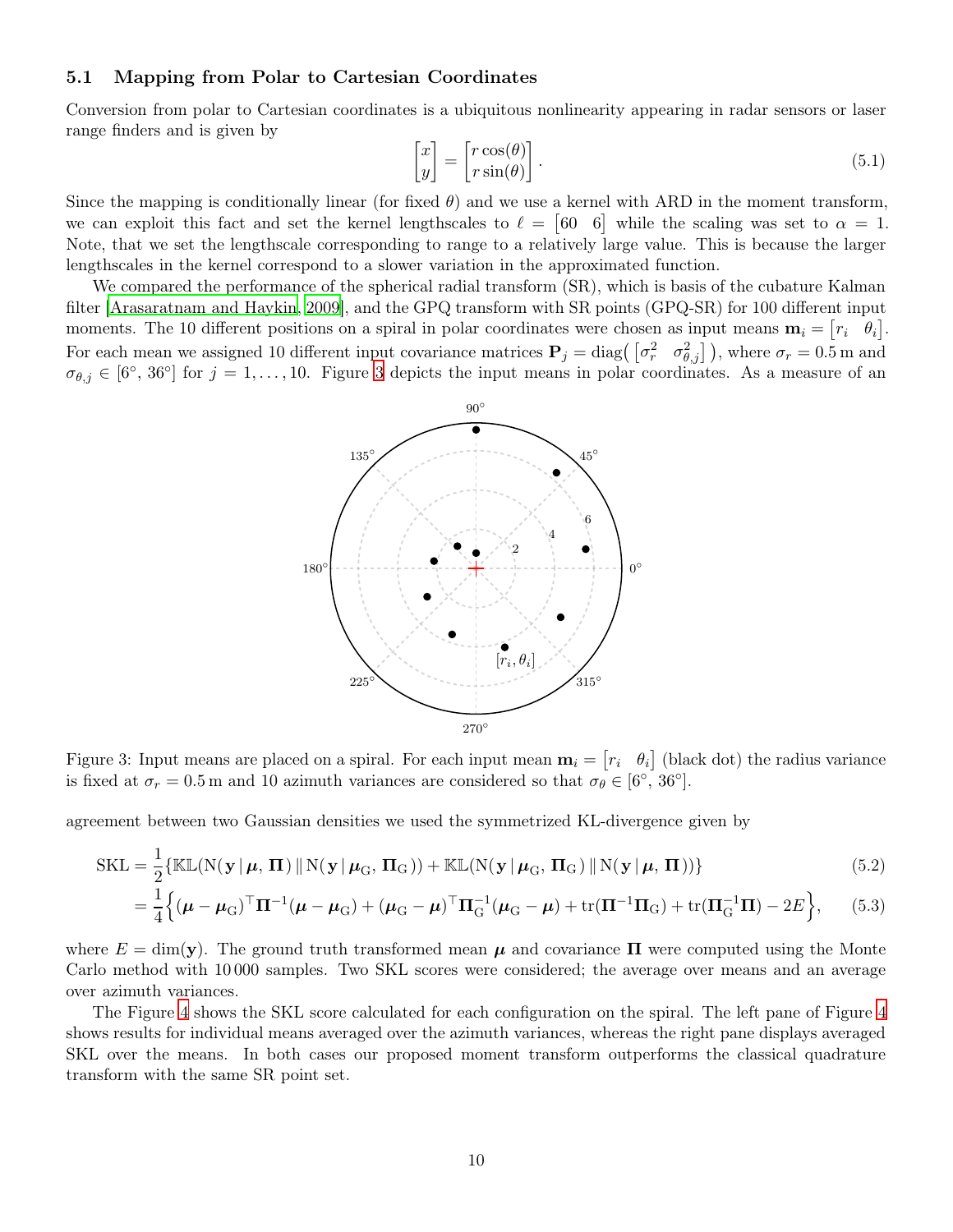#### 5.1 Mapping from Polar to Cartesian Coordinates

Conversion from polar to Cartesian coordinates is a ubiquitous nonlinearity appearing in radar sensors or laser range finders and is given by

$$
\begin{bmatrix} x \\ y \end{bmatrix} = \begin{bmatrix} r\cos(\theta) \\ r\sin(\theta) \end{bmatrix}.
$$
 (5.1)

Since the mapping is conditionally linear (for fixed  $\theta$ ) and we use a kernel with ARD in the moment transform, we can exploit this fact and set the kernel lengthscales to  $\ell = \begin{bmatrix} 60 & 6 \end{bmatrix}$  while the scaling was set to  $\alpha = 1$ . Note, that we set the lengthscale corresponding to range to a relatively large value. This is because the larger lengthscales in the kernel correspond to a slower variation in the approximated function.

<span id="page-9-0"></span>We compared the performance of the spherical radial transform (SR), which is basis of the cubature Kalman filter [\[Arasaratnam and Haykin, 2009](#page-14-0)], and the GPQ transform with SR points (GPQ-SR) for 100 different input moments. The 10 different positions on a spiral in polar coordinates were chosen as input means  $\mathbf{m}_i = [r_i \quad \theta_i].$ For each mean we assigned 10 different input covariance matrices  $P_j = \text{diag}(\begin{bmatrix} \sigma_r^2 & \sigma_{\theta,j}^2 \end{bmatrix})$ , where  $\sigma_r = 0.5$  m and  $\sigma_{\theta,j} \in [6^{\circ}, 36^{\circ}]$  $\sigma_{\theta,j} \in [6^{\circ}, 36^{\circ}]$  $\sigma_{\theta,j} \in [6^{\circ}, 36^{\circ}]$  for  $j = 1, \ldots, 10$ . Figure 3 depicts the input means in polar coordinates. As a measure of an



Figure 3: Input means are placed on a spiral. For each input mean  $\mathbf{m}_i = \begin{bmatrix} r_i & \theta_i \end{bmatrix}$  (black dot) the radius variance is fixed at  $\sigma_r = 0.5 \,\text{m}$  and 10 azimuth variances are considered so that  $\sigma_\theta \in [6^\circ, 36^\circ]$ .

agreement between two Gaussian densities we used the symmetrized KL-divergence given by

$$
SKL = \frac{1}{2} \{ \mathbb{KL}(N(\mathbf{y} | \boldsymbol{\mu}, \boldsymbol{\Pi}) \, \| \, N(\mathbf{y} | \boldsymbol{\mu}_{G}, \boldsymbol{\Pi}_{G})) + \mathbb{KL}(N(\mathbf{y} | \boldsymbol{\mu}_{G}, \boldsymbol{\Pi}_{G}) \, \| \, N(\mathbf{y} | \boldsymbol{\mu}, \boldsymbol{\Pi})) \}
$$
(5.2)

$$
= \frac{1}{4} \Big\{ (\mu - \mu_{\rm G})^{\top} \Pi^{-1} (\mu - \mu_{\rm G}) + (\mu_{\rm G} - \mu)^{\top} \Pi_{\rm G}^{-1} (\mu_{\rm G} - \mu) + \text{tr}(\Pi^{-1} \Pi_{\rm G}) + \text{tr}(\Pi_{\rm G}^{-1} \Pi) - 2E \Big\},\qquad(5.3)
$$

where  $E = \dim(y)$ . The ground truth transformed mean  $\mu$  and covariance  $\Pi$  were computed using the Monte Carlo method with 10 000 samples. Two SKL scores were considered; the average over means and an average over azimuth variances.

The Figure [4](#page-10-0) shows the SKL score calculated for each configuration on the spiral. The left pane of Figure [4](#page-10-0) shows results for individual means averaged over the azimuth variances, whereas the right pane displays averaged SKL over the means. In both cases our proposed moment transform outperforms the classical quadrature transform with the same SR point set.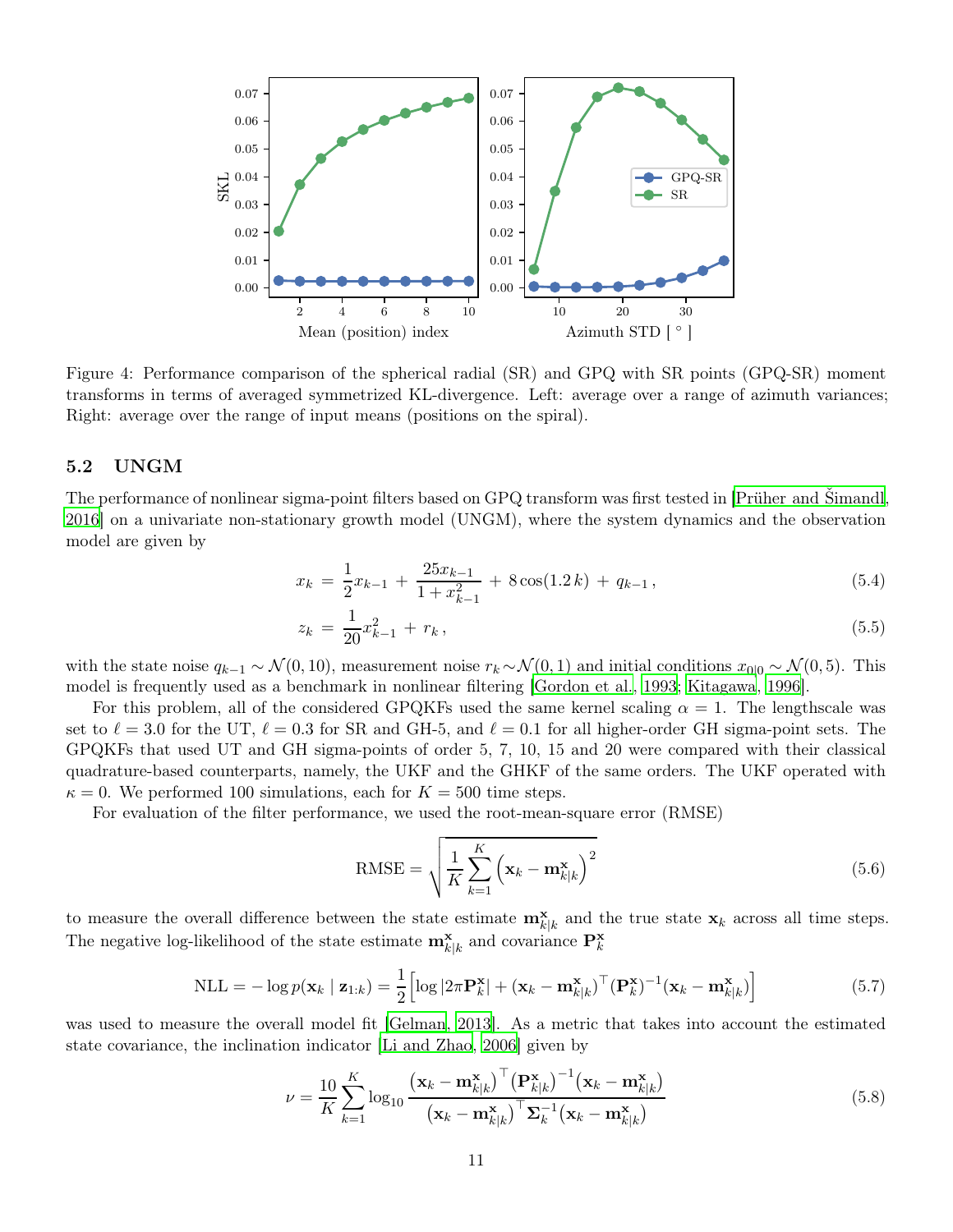<span id="page-10-0"></span>

Figure 4: Performance comparison of the spherical radial (SR) and GPQ with SR points (GPQ-SR) moment transforms in terms of averaged symmetrized KL-divergence. Left: average over a range of azimuth variances; Right: average over the range of input means (positions on the spiral).

#### 5.2 UNGM

The performance of nonlinear sigma-point filters based on GPQ transform was first tested in [\[Prüher and Šimandl,](#page-16-10) [2016\]](#page-16-10) on a univariate non-stationary growth model (UNGM), where the system dynamics and the observation model are given by

$$
x_k = \frac{1}{2}x_{k-1} + \frac{25x_{k-1}}{1 + x_{k-1}^2} + 8\cos(1.2 k) + q_{k-1},
$$
\n(5.4)

$$
z_k = \frac{1}{20}x_{k-1}^2 + r_k, \tag{5.5}
$$

with the state noise  $q_{k-1} \sim \mathcal{N}(0, 10)$ , measurement noise  $r_k \sim \mathcal{N}(0, 1)$  and initial conditions  $x_{0|0} \sim \mathcal{N}(0, 5)$ . This model is frequently used as a benchmark in nonlinear filtering [\[Gordon et al., 1993](#page-15-15); [Kitagawa](#page-16-15), [1996\]](#page-16-15).

For this problem, all of the considered GPQKFs used the same kernel scaling  $\alpha = 1$ . The lengthscale was set to  $\ell = 3.0$  for the UT,  $\ell = 0.3$  for SR and GH-5, and  $\ell = 0.1$  for all higher-order GH sigma-point sets. The GPQKFs that used UT and GH sigma-points of order 5, 7, 10, 15 and 20 were compared with their classical quadrature-based counterparts, namely, the UKF and the GHKF of the same orders. The UKF operated with  $\kappa = 0$ . We performed 100 simulations, each for  $K = 500$  time steps.

For evaluation of the filter performance, we used the root-mean-square error (RMSE)

RMSE = 
$$
\sqrt{\frac{1}{K} \sum_{k=1}^{K} (\mathbf{x}_k - \mathbf{m}_{k|k}^{\mathbf{x}})^2}
$$
(5.6)

to measure the overall difference between the state estimate  $\mathbf{m}_{k|k}^{\mathbf{x}}$  and the true state  $\mathbf{x}_k$  across all time steps. The negative log-likelihood of the state estimate  $\mathbf{m}_{k|k}^{\mathbf{x}}$  and covariance  $\mathbf{P}_{k}^{\mathbf{x}}$ 

$$
NLL = -\log p(\mathbf{x}_k \mid \mathbf{z}_{1:k}) = \frac{1}{2} \Big[ \log |2\pi \mathbf{P}_k^{\mathbf{x}}| + (\mathbf{x}_k - \mathbf{m}_{k|k}^{\mathbf{x}})^{\top} (\mathbf{P}_k^{\mathbf{x}})^{-1} (\mathbf{x}_k - \mathbf{m}_{k|k}^{\mathbf{x}}) \Big]
$$
(5.7)

was used to measure the overall model fit [\[Gelman, 2013\]](#page-15-16). As a metric that takes into account the estimated state covariance, the inclination indicator [\[Li and Zhao, 2006](#page-16-16)] given by

$$
\nu = \frac{10}{K} \sum_{k=1}^{K} \log_{10} \frac{\left(\mathbf{x}_k - \mathbf{m}_{k|k}^{\mathbf{x}}\right)^{\top} \left(\mathbf{P}_{k|k}^{\mathbf{x}}\right)^{-1} \left(\mathbf{x}_k - \mathbf{m}_{k|k}^{\mathbf{x}}\right)}{\left(\mathbf{x}_k - \mathbf{m}_{k|k}^{\mathbf{x}}\right)^{\top} \mathbf{\Sigma}_k^{-1} \left(\mathbf{x}_k - \mathbf{m}_{k|k}^{\mathbf{x}}\right)}
$$
(5.8)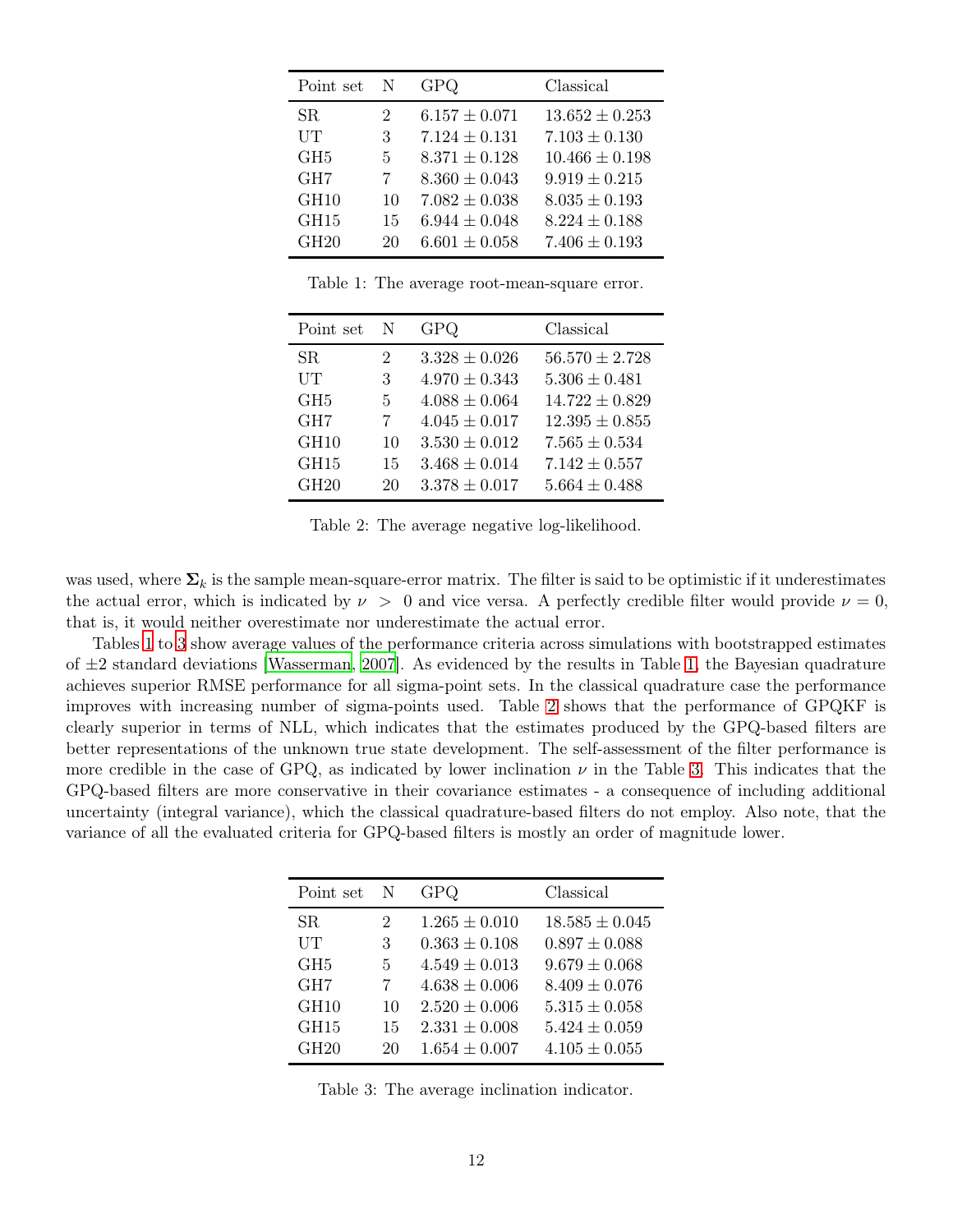<span id="page-11-0"></span>

| Point set       | N  | GPQ               | Classical          |
|-----------------|----|-------------------|--------------------|
| <b>SR</b>       | 2  | $6.157 \pm 0.071$ | $13.652 \pm 0.253$ |
| UT              | 3  | $7.124 \pm 0.131$ | $7.103 \pm 0.130$  |
| GH <sub>5</sub> | 5  | $8.371 \pm 0.128$ | $10.466 \pm 0.198$ |
| GH <sub>7</sub> | 7  | $8.360 \pm 0.043$ | $9.919 \pm 0.215$  |
| GH10            | 10 | $7.082 \pm 0.038$ | $8.035 \pm 0.193$  |
| GH15            | 15 | $6.944 \pm 0.048$ | $8.224 \pm 0.188$  |
| GH20            | 20 | $6.601 \pm 0.058$ | $7.406 \pm 0.193$  |

Table 1: The average root-mean-square error.

<span id="page-11-2"></span>

| Point set        | N  | GPQ               | Classical          |
|------------------|----|-------------------|--------------------|
| SR.              | 2  | $3.328 \pm 0.026$ | $56.570 \pm 2.728$ |
| UT               | 3  | $4.970 \pm 0.343$ | $5.306 \pm 0.481$  |
| GH <sub>5</sub>  | 5  | $4.088 \pm 0.064$ | $14.722 \pm 0.829$ |
| GH <sub>7</sub>  | 7  | $4.045 \pm 0.017$ | $12.395 \pm 0.855$ |
| GH <sub>10</sub> | 10 | $3.530 \pm 0.012$ | $7.565 \pm 0.534$  |
| GH15             | 15 | $3.468 \pm 0.014$ | $7.142 \pm 0.557$  |
| GH20             | 20 | $3.378 \pm 0.017$ | $5.664 \pm 0.488$  |

Table 2: The average negative log-likelihood.

was used, where  $\Sigma_k$  is the sample mean-square-error matrix. The filter is said to be optimistic if it underestimates the actual error, which is indicated by  $\nu > 0$  and vice versa. A perfectly credible filter would provide  $\nu = 0$ , that is, it would neither overestimate nor underestimate the actual error.

<span id="page-11-1"></span>Tables [1](#page-11-0) to [3](#page-11-1) show average values of the performance criteria across simulations with bootstrapped estimates of  $\pm 2$  standard deviations [\[Wasserman, 2007](#page-17-5)]. As evidenced by the results in Table [1,](#page-11-0) the Bayesian quadrature achieves superior RMSE performance for all sigma-point sets. In the classical quadrature case the performance improves with increasing number of sigma-points used. Table [2](#page-11-2) shows that the performance of GPQKF is clearly superior in terms of NLL, which indicates that the estimates produced by the GPQ-based filters are better representations of the unknown true state development. The self-assessment of the filter performance is more credible in the case of GPQ, as indicated by lower inclination  $\nu$  in the Table [3.](#page-11-1) This indicates that the GPQ-based filters are more conservative in their covariance estimates - a consequence of including additional uncertainty (integral variance), which the classical quadrature-based filters do not employ. Also note, that the variance of all the evaluated criteria for GPQ-based filters is mostly an order of magnitude lower.

| Point set       | -N | GPQ               | Classical          |
|-----------------|----|-------------------|--------------------|
| SR.             | 2  | $1.265 \pm 0.010$ | $18.585 \pm 0.045$ |
| UT              | 3  | $0.363 \pm 0.108$ | $0.897 \pm 0.088$  |
| GH <sub>5</sub> | 5  | $4.549 \pm 0.013$ | $9.679 \pm 0.068$  |
| GH <sub>7</sub> | 7  | $4.638 \pm 0.006$ | $8.409 \pm 0.076$  |
| GH10            | 10 | $2.520 \pm 0.006$ | $5.315 \pm 0.058$  |
| GH15            | 15 | $2.331 \pm 0.008$ | $5.424 \pm 0.059$  |
| GH20            | 20 | $1.654 \pm 0.007$ | $4.105 \pm 0.055$  |

Table 3: The average inclination indicator.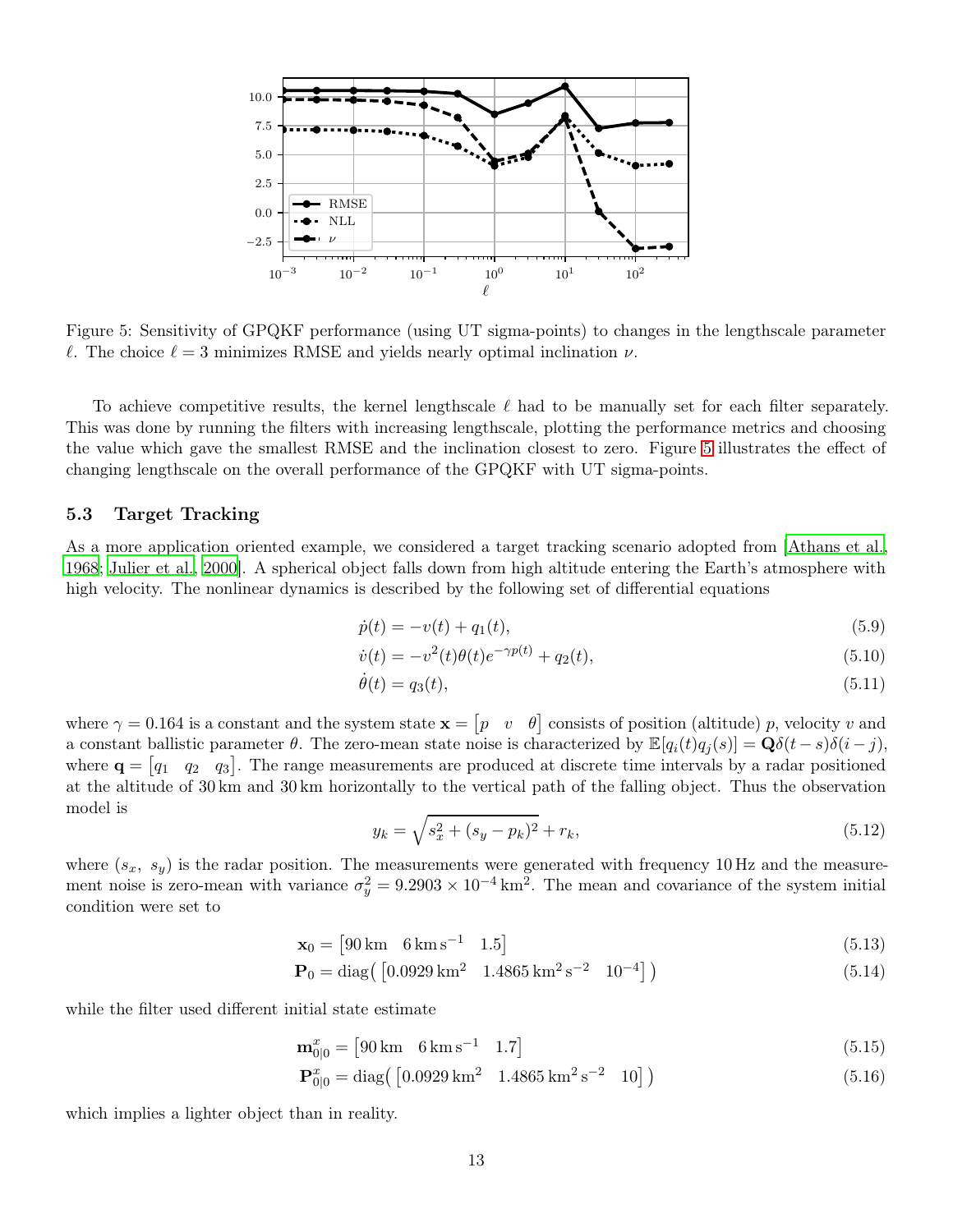<span id="page-12-0"></span>

Figure 5: Sensitivity of GPQKF performance (using UT sigma-points) to changes in the lengthscale parameter  $\ell$ . The choice  $\ell = 3$  minimizes RMSE and yields nearly optimal inclination  $\nu$ .

To achieve competitive results, the kernel lengthscale  $\ell$  had to be manually set for each filter separately. This was done by running the filters with increasing lengthscale, plotting the performance metrics and choosing the value which gave the smallest RMSE and the inclination closest to zero. Figure [5](#page-12-0) illustrates the effect of changing lengthscale on the overall performance of the GPQKF with UT sigma-points.

#### 5.3 Target Tracking

As a more application oriented example, we considered a target tracking scenario adopted from [\[Athans et al.,](#page-14-1) [1968](#page-14-1); [Julier et al.](#page-15-6), [2000](#page-15-6)]. A spherical object falls down from high altitude entering the Earth's atmosphere with high velocity. The nonlinear dynamics is described by the following set of differential equations

<span id="page-12-1"></span>
$$
\dot{p}(t) = -v(t) + q_1(t),\tag{5.9}
$$

$$
\dot{v}(t) = -v^2(t)\theta(t)e^{-\gamma p(t)} + q_2(t),\tag{5.10}
$$

<span id="page-12-2"></span>
$$
\dot{\theta}(t) = q_3(t),\tag{5.11}
$$

where  $\gamma = 0.164$  is a constant and the system state  $\mathbf{x} = \begin{bmatrix} p & v & \theta \end{bmatrix}$  consists of position (altitude) p, velocity v and a constant ballistic parameter  $\theta$ . The zero-mean state noise is characterized by  $\mathbb{E}[q_i(t)q_i(s)] = \mathbf{Q}\delta(t-s)\delta(i-j)$ , where  $\mathbf{q} = \begin{bmatrix} q_1 & q_2 & q_3 \end{bmatrix}$ . The range measurements are produced at discrete time intervals by a radar positioned at the altitude of 30 km and 30 km horizontally to the vertical path of the falling object. Thus the observation model is

$$
y_k = \sqrt{s_x^2 + (s_y - p_k)^2} + r_k,\tag{5.12}
$$

where  $(s_x, s_y)$  is the radar position. The measurements were generated with frequency 10 Hz and the measurement noise is zero-mean with variance  $\sigma_y^2 = 9.2903 \times 10^{-4} \text{ km}^2$ . The mean and covariance of the system initial condition were set to

> $\mathbf{x}_0 = \begin{bmatrix} 90 \,\mathrm{km} & 6 \,\mathrm{km} \,\mathrm{s}^{-1} & 1.5 \end{bmatrix}$ (5.13)

$$
\mathbf{P}_0 = \text{diag}\left(\begin{bmatrix} 0.0929 \,\text{km}^2 & 1.4865 \,\text{km}^2 \,\text{s}^{-2} & 10^{-4} \end{bmatrix}\right) \tag{5.14}
$$

while the filter used different initial state estimate

$$
\mathbf{m}_{0|0}^x = [90 \,\mathrm{km} \quad 6 \,\mathrm{km} \,\mathrm{s}^{-1} \quad 1.7] \tag{5.15}
$$

$$
\mathbf{P}_{0|0}^{x} = \text{diag}\left(\begin{bmatrix} 0.0929 \,\text{km}^2 & 1.4865 \,\text{km}^2 \,\text{s}^{-2} & 10 \end{bmatrix}\right) \tag{5.16}
$$

which implies a lighter object than in reality.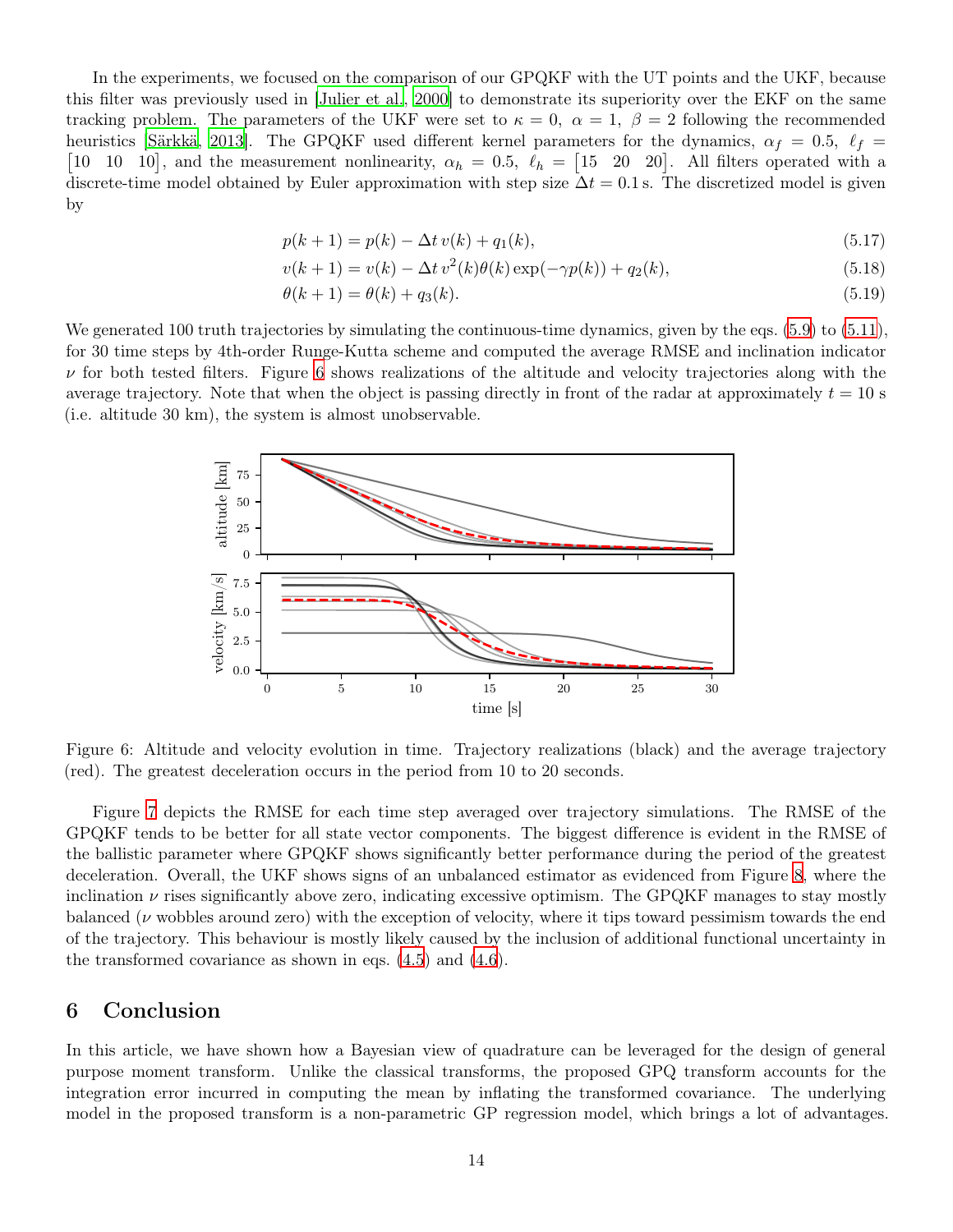In the experiments, we focused on the comparison of our GPQKF with the UT points and the UKF, because this filter was previously used in [\[Julier et al.](#page-15-6), [2000](#page-15-6)] to demonstrate its superiority over the EKF on the same tracking problem. The parameters of the UKF were set to  $\kappa = 0$ ,  $\alpha = 1$ ,  $\beta = 2$  following the recommended heuristics [\[Särkkä](#page-16-11), [2013\]](#page-16-11). The GPQKF used different kernel parameters for the dynamics,  $\alpha_f = 0.5$ ,  $\ell_f =$  [10 10 10], and the measurement nonlinearity,  $\alpha_h = 0.5$ ,  $\ell_h =$  [15 20 20]. All filters operated with a discrete-time model obtained by Euler approximation with step size  $\Delta t = 0.1$  s. The discretized model is given by

$$
p(k+1) = p(k) - \Delta t \, v(k) + q_1(k),\tag{5.17}
$$

$$
v(k+1) = v(k) - \Delta t v^2(k)\theta(k) \exp(-\gamma p(k)) + q_2(k),
$$
\n(5.18)

$$
\theta(k+1) = \theta(k) + q_3(k). \tag{5.19}
$$

<span id="page-13-1"></span>We generated 100 truth trajectories by simulating the continuous-time dynamics, given by the eqs. [\(5.9\)](#page-12-1) to [\(5.11\)](#page-12-2), for 30 time steps by 4th-order Runge-Kutta scheme and computed the average RMSE and inclination indicator  $\nu$  for both tested filters. Figure [6](#page-13-1) shows realizations of the altitude and velocity trajectories along with the average trajectory. Note that when the object is passing directly in front of the radar at approximately  $t = 10$  s (i.e. altitude 30 km), the system is almost unobservable.



Figure 6: Altitude and velocity evolution in time. Trajectory realizations (black) and the average trajectory (red). The greatest deceleration occurs in the period from 10 to 20 seconds.

Figure [7](#page-14-2) depicts the RMSE for each time step averaged over trajectory simulations. The RMSE of the GPQKF tends to be better for all state vector components. The biggest difference is evident in the RMSE of the ballistic parameter where GPQKF shows significantly better performance during the period of the greatest deceleration. Overall, the UKF shows signs of an unbalanced estimator as evidenced from Figure [8,](#page-14-3) where the inclination  $\nu$  rises significantly above zero, indicating excessive optimism. The GPQKF manages to stay mostly balanced ( $\nu$  wobbles around zero) with the exception of velocity, where it tips toward pessimism towards the end of the trajectory. This behaviour is mostly likely caused by the inclusion of additional functional uncertainty in the transformed covariance as shown in eqs. [\(4.5\)](#page-5-2) and [\(4.6\)](#page-5-3).

### <span id="page-13-0"></span>6 Conclusion

In this article, we have shown how a Bayesian view of quadrature can be leveraged for the design of general purpose moment transform. Unlike the classical transforms, the proposed GPQ transform accounts for the integration error incurred in computing the mean by inflating the transformed covariance. The underlying model in the proposed transform is a non-parametric GP regression model, which brings a lot of advantages.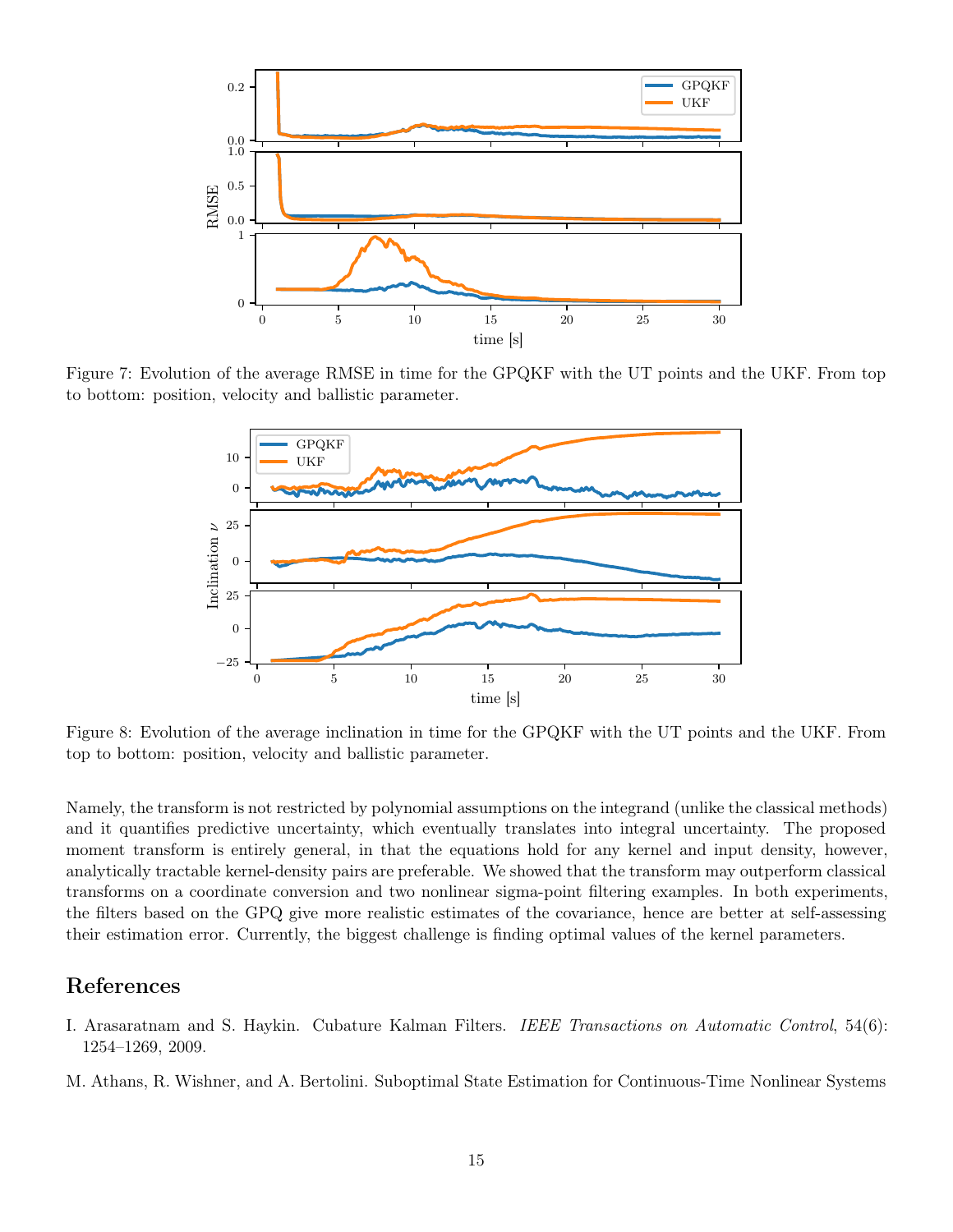<span id="page-14-2"></span>

<span id="page-14-3"></span>Figure 7: Evolution of the average RMSE in time for the GPQKF with the UT points and the UKF. From top to bottom: position, velocity and ballistic parameter.



Figure 8: Evolution of the average inclination in time for the GPQKF with the UT points and the UKF. From top to bottom: position, velocity and ballistic parameter.

Namely, the transform is not restricted by polynomial assumptions on the integrand (unlike the classical methods) and it quantifies predictive uncertainty, which eventually translates into integral uncertainty. The proposed moment transform is entirely general, in that the equations hold for any kernel and input density, however, analytically tractable kernel-density pairs are preferable. We showed that the transform may outperform classical transforms on a coordinate conversion and two nonlinear sigma-point filtering examples. In both experiments, the filters based on the GPQ give more realistic estimates of the covariance, hence are better at self-assessing their estimation error. Currently, the biggest challenge is finding optimal values of the kernel parameters.

## References

- <span id="page-14-0"></span>I. Arasaratnam and S. Haykin. Cubature Kalman Filters. IEEE Transactions on Automatic Control, 54(6): 1254–1269, 2009.
- <span id="page-14-1"></span>M. Athans, R. Wishner, and A. Bertolini. Suboptimal State Estimation for Continuous-Time Nonlinear Systems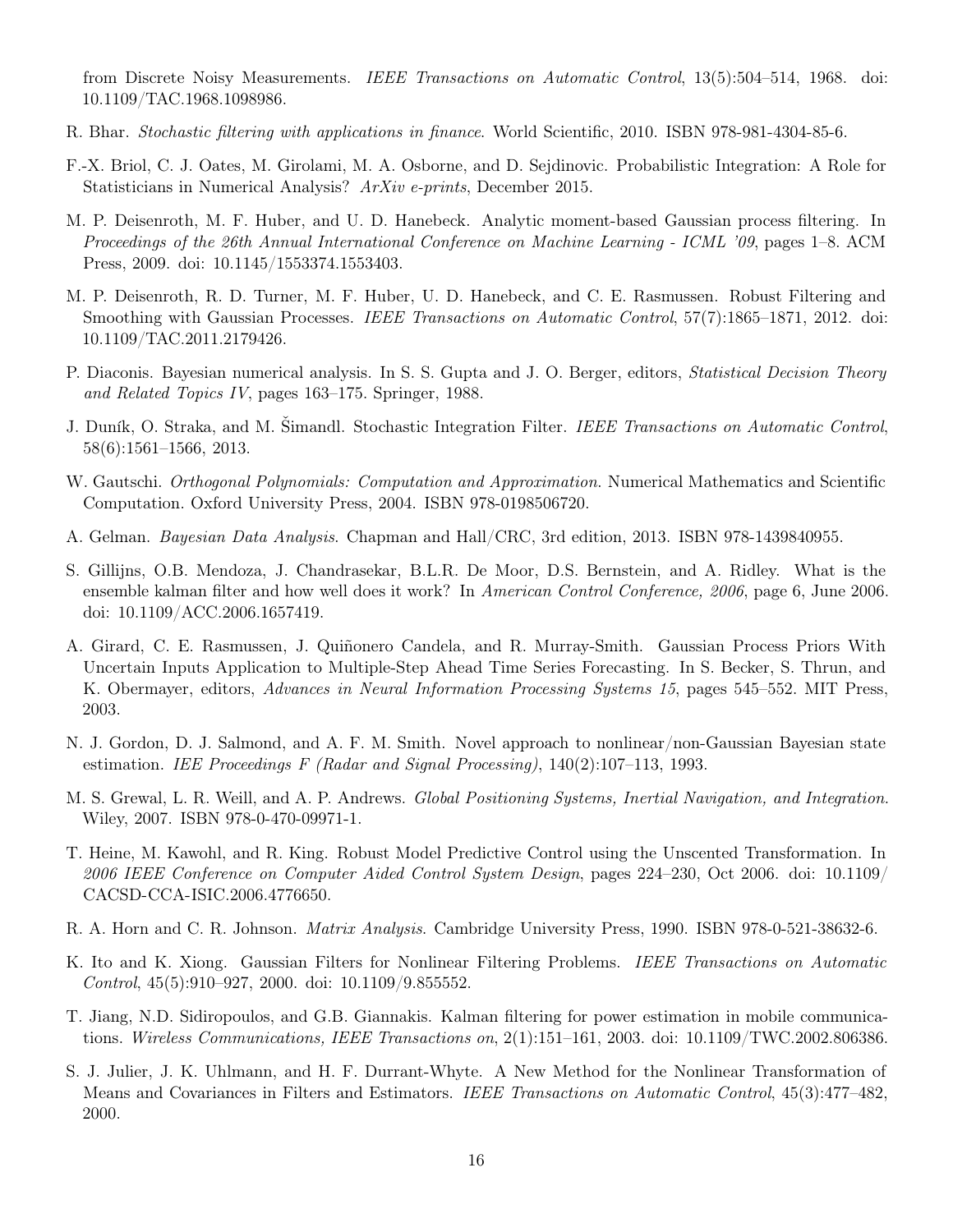from Discrete Noisy Measurements. IEEE Transactions on Automatic Control, 13(5):504–514, 1968. doi: 10.1109/TAC.1968.1098986.

- <span id="page-15-5"></span>R. Bhar. Stochastic filtering with applications in finance. World Scientific, 2010. ISBN 978-981-4304-85-6.
- <span id="page-15-9"></span>F.-X. Briol, C. J. Oates, M. Girolami, M. A. Osborne, and D. Sejdinovic. Probabilistic Integration: A Role for Statisticians in Numerical Analysis? ArXiv e-prints, December 2015.
- <span id="page-15-10"></span>M. P. Deisenroth, M. F. Huber, and U. D. Hanebeck. Analytic moment-based Gaussian process filtering. In Proceedings of the 26th Annual International Conference on Machine Learning - ICML '09, pages 1–8. ACM Press, 2009. doi: 10.1145/1553374.1553403.
- <span id="page-15-12"></span>M. P. Deisenroth, R. D. Turner, M. F. Huber, U. D. Hanebeck, and C. E. Rasmussen. Robust Filtering and Smoothing with Gaussian Processes. IEEE Transactions on Automatic Control, 57(7):1865–1871, 2012. doi: 10.1109/TAC.2011.2179426.
- <span id="page-15-8"></span>P. Diaconis. Bayesian numerical analysis. In S. S. Gupta and J. O. Berger, editors, Statistical Decision Theory and Related Topics IV, pages 163–175. Springer, 1988.
- <span id="page-15-1"></span>J. Duník, O. Straka, and M. Šimandl. Stochastic Integration Filter. IEEE Transactions on Automatic Control, 58(6):1561–1566, 2013.
- <span id="page-15-7"></span>W. Gautschi. *Orthogonal Polynomials: Computation and Approximation*. Numerical Mathematics and Scientific Computation. Oxford University Press, 2004. ISBN 978-0198506720.
- <span id="page-15-16"></span>A. Gelman. Bayesian Data Analysis. Chapman and Hall/CRC, 3rd edition, 2013. ISBN 978-1439840955.
- <span id="page-15-3"></span>S. Gillijns, O.B. Mendoza, J. Chandrasekar, B.L.R. De Moor, D.S. Bernstein, and A. Ridley. What is the ensemble kalman filter and how well does it work? In American Control Conference, 2006, page 6, June 2006. doi: 10.1109/ACC.2006.1657419.
- <span id="page-15-13"></span>A. Girard, C. E. Rasmussen, J. Quiñonero Candela, and R. Murray-Smith. Gaussian Process Priors With Uncertain Inputs Application to Multiple-Step Ahead Time Series Forecasting. In S. Becker, S. Thrun, and K. Obermayer, editors, Advances in Neural Information Processing Systems 15, pages 545–552. MIT Press, 2003.
- <span id="page-15-15"></span>N. J. Gordon, D. J. Salmond, and A. F. M. Smith. Novel approach to nonlinear/non-Gaussian Bayesian state estimation. IEE Proceedings F (Radar and Signal Processing),  $140(2):107-113$ , 1993.
- <span id="page-15-2"></span>M. S. Grewal, L. R. Weill, and A. P. Andrews. Global Positioning Systems, Inertial Navigation, and Integration. Wiley, 2007. ISBN 978-0-470-09971-1.
- <span id="page-15-0"></span>T. Heine, M. Kawohl, and R. King. Robust Model Predictive Control using the Unscented Transformation. In 2006 IEEE Conference on Computer Aided Control System Design, pages 224–230, Oct 2006. doi: 10.1109/ CACSD-CCA-ISIC.2006.4776650.
- <span id="page-15-14"></span>R. A. Horn and C. R. Johnson. Matrix Analysis. Cambridge University Press, 1990. ISBN 978-0-521-38632-6.
- <span id="page-15-11"></span>K. Ito and K. Xiong. Gaussian Filters for Nonlinear Filtering Problems. IEEE Transactions on Automatic Control, 45(5):910–927, 2000. doi: 10.1109/9.855552.
- <span id="page-15-4"></span>T. Jiang, N.D. Sidiropoulos, and G.B. Giannakis. Kalman filtering for power estimation in mobile communications. Wireless Communications, IEEE Transactions on, 2(1):151–161, 2003. doi: 10.1109/TWC.2002.806386.
- <span id="page-15-6"></span>S. J. Julier, J. K. Uhlmann, and H. F. Durrant-Whyte. A New Method for the Nonlinear Transformation of Means and Covariances in Filters and Estimators. IEEE Transactions on Automatic Control, 45(3):477–482, 2000.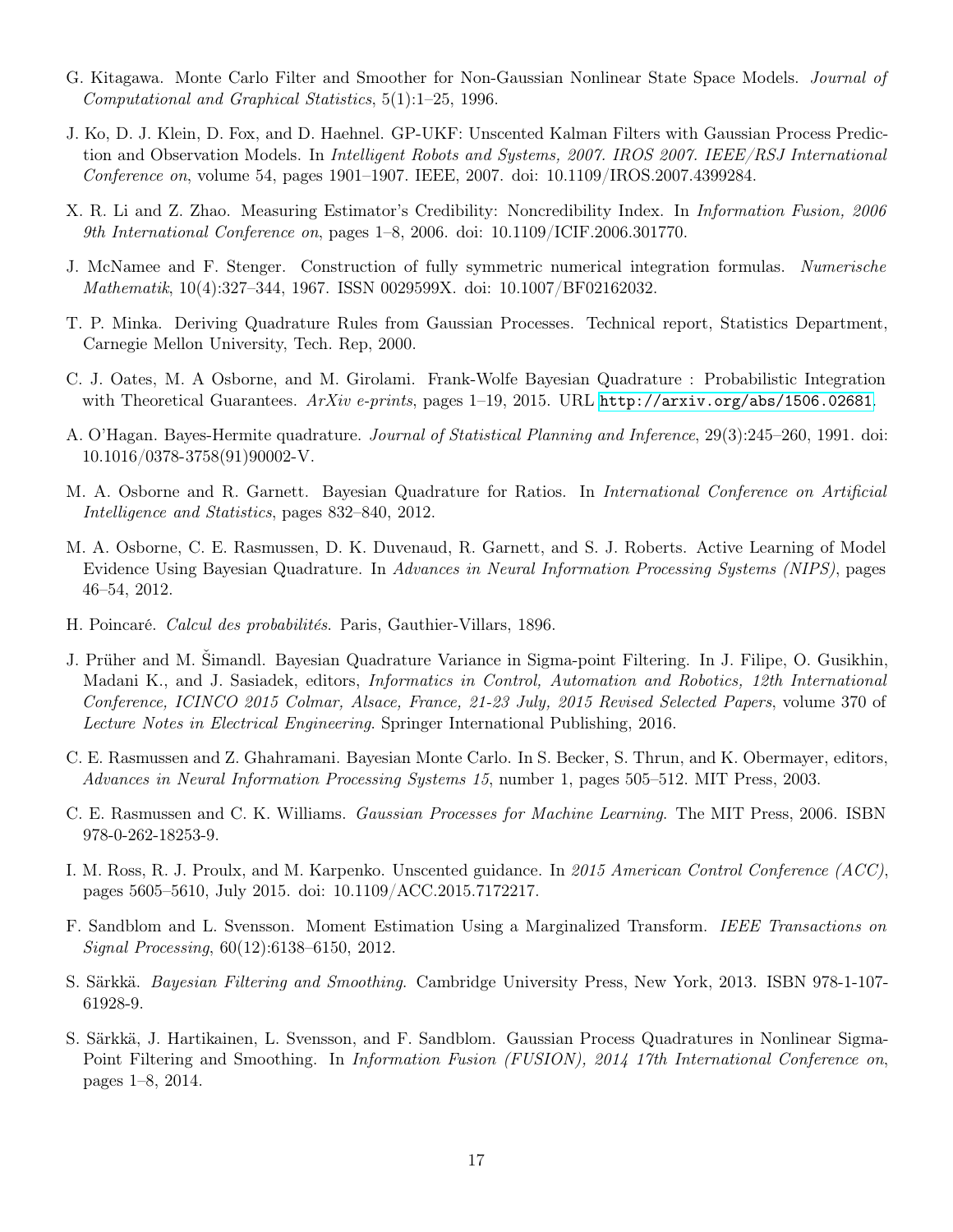- <span id="page-16-15"></span>G. Kitagawa. Monte Carlo Filter and Smoother for Non-Gaussian Nonlinear State Space Models. Journal of Computational and Graphical Statistics, 5(1):1–25, 1996.
- <span id="page-16-9"></span>J. Ko, D. J. Klein, D. Fox, and D. Haehnel. GP-UKF: Unscented Kalman Filters with Gaussian Process Prediction and Observation Models. In Intelligent Robots and Systems, 2007. IROS 2007. IEEE/RSJ International Conference on, volume 54, pages 1901–1907. IEEE, 2007. doi: 10.1109/IROS.2007.4399284.
- <span id="page-16-16"></span>X. R. Li and Z. Zhao. Measuring Estimator's Credibility: Noncredibility Index. In Information Fusion, 2006 9th International Conference on, pages 1–8, 2006. doi: 10.1109/ICIF.2006.301770.
- <span id="page-16-12"></span>J. McNamee and F. Stenger. Construction of fully symmetric numerical integration formulas. Numerische Mathematik, 10(4):327–344, 1967. ISSN 0029599X. doi: 10.1007/BF02162032.
- <span id="page-16-7"></span>T. P. Minka. Deriving Quadrature Rules from Gaussian Processes. Technical report, Statistics Department, Carnegie Mellon University, Tech. Rep, 2000.
- <span id="page-16-5"></span>C. J. Oates, M. A Osborne, and M. Girolami. Frank-Wolfe Bayesian Quadrature : Probabilistic Integration with Theoretical Guarantees.  $ArXiv$  e-prints, pages 1–19, 2015. URL <http://arxiv.org/abs/1506.02681>.
- <span id="page-16-3"></span>A. O'Hagan. Bayes-Hermite quadrature. Journal of Statistical Planning and Inference, 29(3):245–260, 1991. doi: 10.1016/0378-3758(91)90002-V.
- <span id="page-16-6"></span>M. A. Osborne and R. Garnett. Bayesian Quadrature for Ratios. In International Conference on Artificial Intelligence and Statistics, pages 832–840, 2012.
- <span id="page-16-14"></span>M. A. Osborne, C. E. Rasmussen, D. K. Duvenaud, R. Garnett, and S. J. Roberts. Active Learning of Model Evidence Using Bayesian Quadrature. In Advances in Neural Information Processing Systems (NIPS), pages 46–54, 2012.
- <span id="page-16-2"></span>H. Poincaré. Calcul des probabilités. Paris, Gauthier-Villars, 1896.
- <span id="page-16-10"></span>J. Prüher and M. Šimandl. Bayesian Quadrature Variance in Sigma-point Filtering. In J. Filipe, O. Gusikhin, Madani K., and J. Sasiadek, editors, Informatics in Control, Automation and Robotics, 12th International Conference, ICINCO 2015 Colmar, Alsace, France, 21-23 July, 2015 Revised Selected Papers, volume 370 of Lecture Notes in Electrical Engineering. Springer International Publishing, 2016.
- <span id="page-16-4"></span>C. E. Rasmussen and Z. Ghahramani. Bayesian Monte Carlo. In S. Becker, S. Thrun, and K. Obermayer, editors, Advances in Neural Information Processing Systems 15, number 1, pages 505–512. MIT Press, 2003.
- <span id="page-16-13"></span>C. E. Rasmussen and C. K. Williams. Gaussian Processes for Machine Learning. The MIT Press, 2006. ISBN 978-0-262-18253-9.
- <span id="page-16-0"></span>I. M. Ross, R. J. Proulx, and M. Karpenko. Unscented guidance. In 2015 American Control Conference (ACC), pages 5605–5610, July 2015. doi: 10.1109/ACC.2015.7172217.
- <span id="page-16-1"></span>F. Sandblom and L. Svensson. Moment Estimation Using a Marginalized Transform. IEEE Transactions on Signal Processing, 60(12):6138–6150, 2012.
- <span id="page-16-11"></span>S. Särkkä. Bayesian Filtering and Smoothing. Cambridge University Press, New York, 2013. ISBN 978-1-107- 61928-9.
- <span id="page-16-8"></span>S. Särkkä, J. Hartikainen, L. Svensson, and F. Sandblom. Gaussian Process Quadratures in Nonlinear Sigma-Point Filtering and Smoothing. In Information Fusion (FUSION), 2014 17th International Conference on, pages 1–8, 2014.